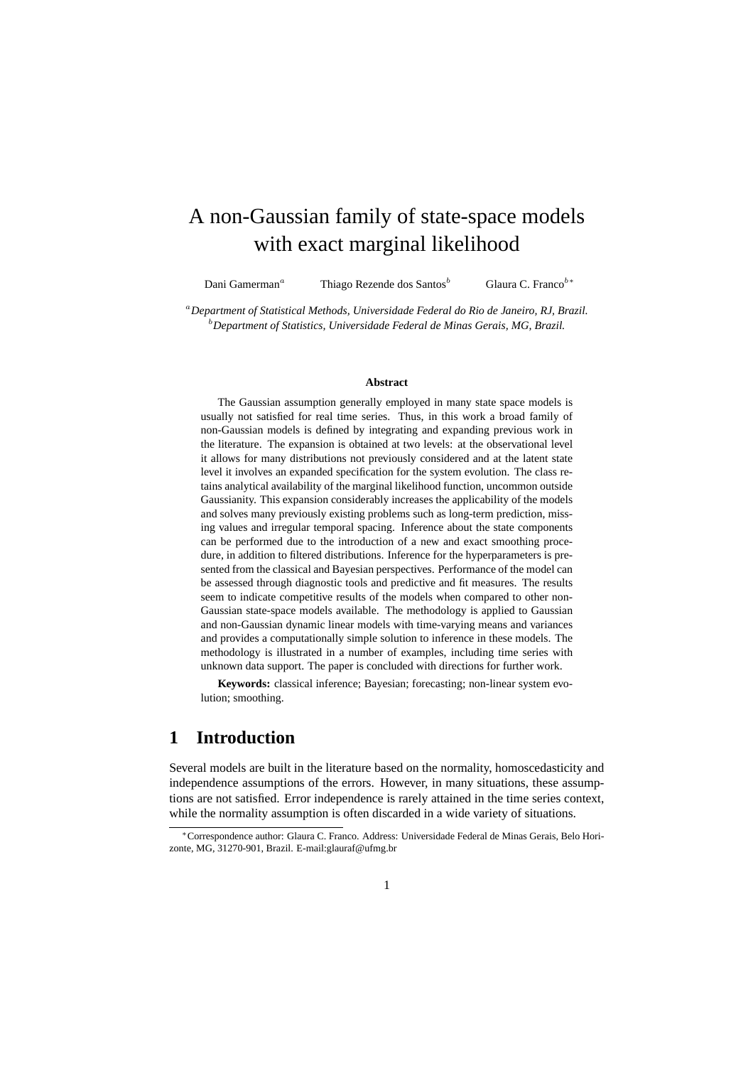# A non-Gaussian family of state-space models with exact marginal likelihood

Dani Gamerman<sup>a</sup> Thiago Rezende dos Santos<sup>b</sup> Glaura C. Franco<sup>b∗</sup>

<sup>a</sup>*Department of Statistical Methods, Universidade Federal do Rio de Janeiro, RJ, Brazil.* <sup>b</sup>*Department of Statistics, Universidade Federal de Minas Gerais, MG, Brazil.*

#### **Abstract**

The Gaussian assumption generally employed in many state space models is usually not satisfied for real time series. Thus, in this work a broad family of non-Gaussian models is defined by integrating and expanding previous work in the literature. The expansion is obtained at two levels: at the observational level it allows for many distributions not previously considered and at the latent state level it involves an expanded specification for the system evolution. The class retains analytical availability of the marginal likelihood function, uncommon outside Gaussianity. This expansion considerably increases the applicability of the models and solves many previously existing problems such as long-term prediction, missing values and irregular temporal spacing. Inference about the state components can be performed due to the introduction of a new and exact smoothing procedure, in addition to filtered distributions. Inference for the hyperparameters is presented from the classical and Bayesian perspectives. Performance of the model can be assessed through diagnostic tools and predictive and fit measures. The results seem to indicate competitive results of the models when compared to other non-Gaussian state-space models available. The methodology is applied to Gaussian and non-Gaussian dynamic linear models with time-varying means and variances and provides a computationally simple solution to inference in these models. The methodology is illustrated in a number of examples, including time series with unknown data support. The paper is concluded with directions for further work.

**Keywords:** classical inference; Bayesian; forecasting; non-linear system evolution; smoothing.

### **1 Introduction**

Several models are built in the literature based on the normality, homoscedasticity and independence assumptions of the errors. However, in many situations, these assumptions are not satisfied. Error independence is rarely attained in the time series context, while the normality assumption is often discarded in a wide variety of situations.

<sup>∗</sup>Correspondence author: Glaura C. Franco. Address: Universidade Federal de Minas Gerais, Belo Horizonte, MG, 31270-901, Brazil. E-mail:glauraf@ufmg.br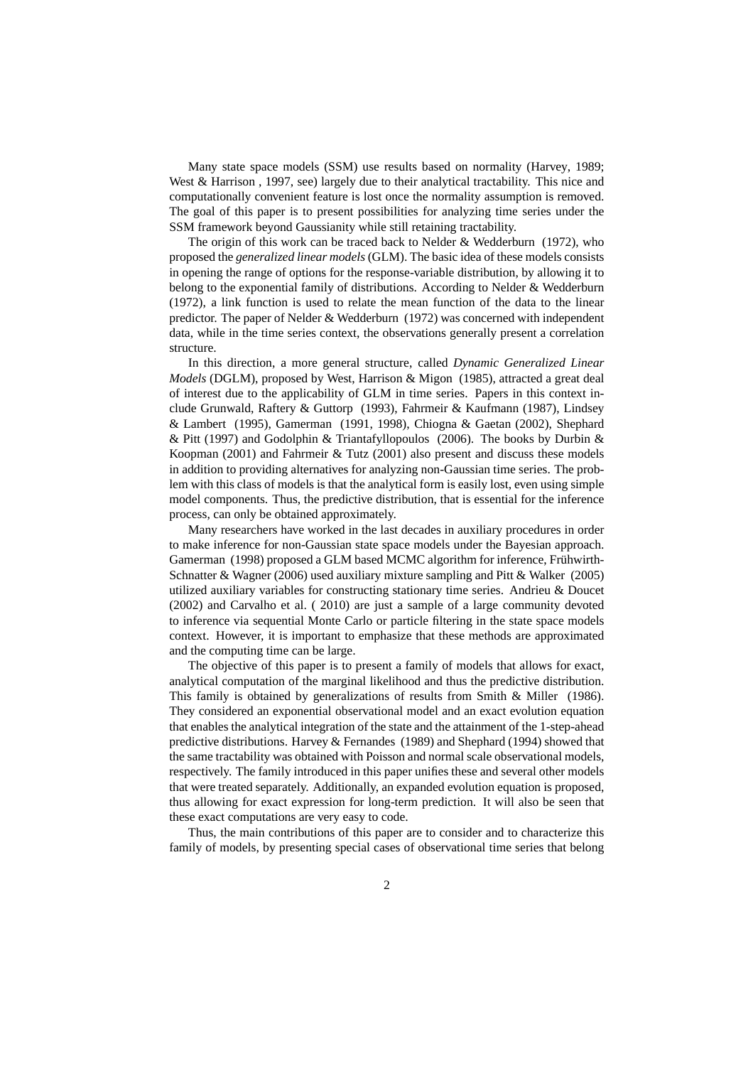Many state space models (SSM) use results based on normality (Harvey, 1989; West & Harrison , 1997, see) largely due to their analytical tractability. This nice and computationally convenient feature is lost once the normality assumption is removed. The goal of this paper is to present possibilities for analyzing time series under the SSM framework beyond Gaussianity while still retaining tractability.

The origin of this work can be traced back to Nelder & Wedderburn (1972), who proposed the *generalized linear models* (GLM). The basic idea of these models consists in opening the range of options for the response-variable distribution, by allowing it to belong to the exponential family of distributions. According to Nelder & Wedderburn (1972), a link function is used to relate the mean function of the data to the linear predictor. The paper of Nelder & Wedderburn (1972) was concerned with independent data, while in the time series context, the observations generally present a correlation structure.

In this direction, a more general structure, called *Dynamic Generalized Linear Models* (DGLM), proposed by West, Harrison & Migon (1985), attracted a great deal of interest due to the applicability of GLM in time series. Papers in this context include Grunwald, Raftery & Guttorp (1993), Fahrmeir & Kaufmann (1987), Lindsey & Lambert (1995), Gamerman (1991, 1998), Chiogna & Gaetan (2002), Shephard & Pitt (1997) and Godolphin & Triantafyllopoulos (2006). The books by Durbin & Koopman (2001) and Fahrmeir & Tutz (2001) also present and discuss these models in addition to providing alternatives for analyzing non-Gaussian time series. The problem with this class of models is that the analytical form is easily lost, even using simple model components. Thus, the predictive distribution, that is essential for the inference process, can only be obtained approximately.

Many researchers have worked in the last decades in auxiliary procedures in order to make inference for non-Gaussian state space models under the Bayesian approach. Gamerman (1998) proposed a GLM based MCMC algorithm for inference, Frühwirth-Schnatter & Wagner (2006) used auxiliary mixture sampling and Pitt & Walker (2005) utilized auxiliary variables for constructing stationary time series. Andrieu & Doucet (2002) and Carvalho et al. ( 2010) are just a sample of a large community devoted to inference via sequential Monte Carlo or particle filtering in the state space models context. However, it is important to emphasize that these methods are approximated and the computing time can be large.

The objective of this paper is to present a family of models that allows for exact, analytical computation of the marginal likelihood and thus the predictive distribution. This family is obtained by generalizations of results from Smith & Miller (1986). They considered an exponential observational model and an exact evolution equation that enables the analytical integration of the state and the attainment of the 1-step-ahead predictive distributions. Harvey & Fernandes (1989) and Shephard (1994) showed that the same tractability was obtained with Poisson and normal scale observational models, respectively. The family introduced in this paper unifies these and several other models that were treated separately. Additionally, an expanded evolution equation is proposed, thus allowing for exact expression for long-term prediction. It will also be seen that these exact computations are very easy to code.

Thus, the main contributions of this paper are to consider and to characterize this family of models, by presenting special cases of observational time series that belong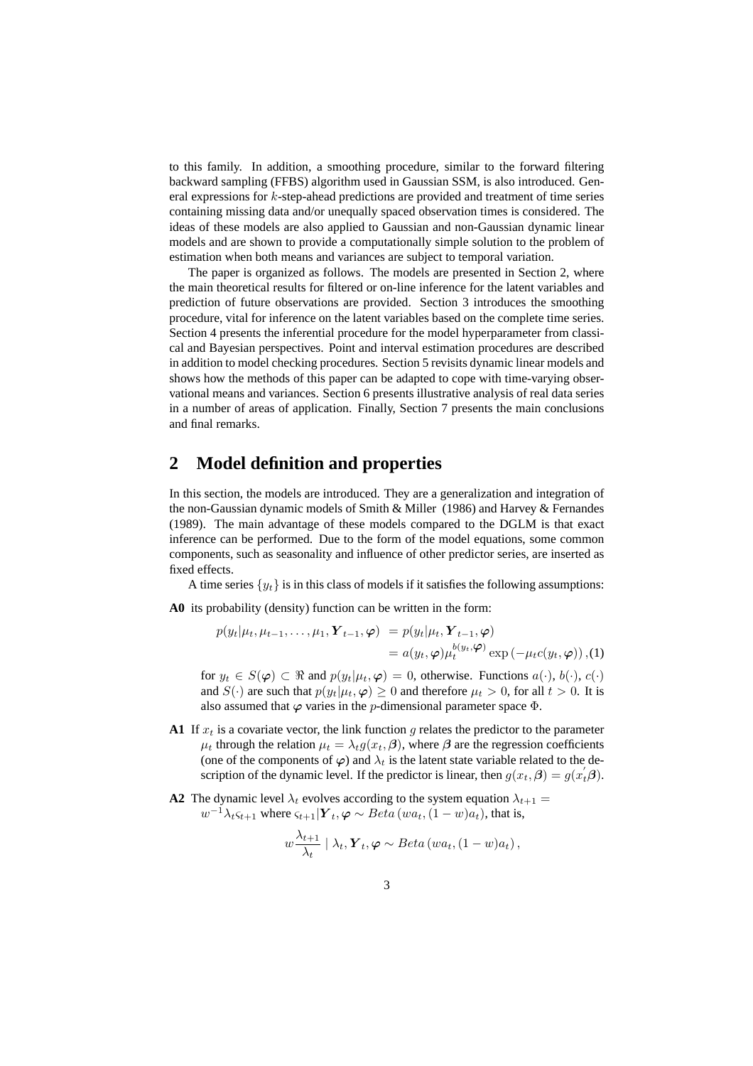to this family. In addition, a smoothing procedure, similar to the forward filtering backward sampling (FFBS) algorithm used in Gaussian SSM, is also introduced. General expressions for k-step-ahead predictions are provided and treatment of time series containing missing data and/or unequally spaced observation times is considered. The ideas of these models are also applied to Gaussian and non-Gaussian dynamic linear models and are shown to provide a computationally simple solution to the problem of estimation when both means and variances are subject to temporal variation.

The paper is organized as follows. The models are presented in Section 2, where the main theoretical results for filtered or on-line inference for the latent variables and prediction of future observations are provided. Section 3 introduces the smoothing procedure, vital for inference on the latent variables based on the complete time series. Section 4 presents the inferential procedure for the model hyperparameter from classical and Bayesian perspectives. Point and interval estimation procedures are described in addition to model checking procedures. Section 5 revisits dynamic linear models and shows how the methods of this paper can be adapted to cope with time-varying observational means and variances. Section 6 presents illustrative analysis of real data series in a number of areas of application. Finally, Section 7 presents the main conclusions and final remarks.

### **2 Model definition and properties**

In this section, the models are introduced. They are a generalization and integration of the non-Gaussian dynamic models of Smith & Miller (1986) and Harvey & Fernandes (1989). The main advantage of these models compared to the DGLM is that exact inference can be performed. Due to the form of the model equations, some common components, such as seasonality and influence of other predictor series, are inserted as fixed effects.

A time series  $\{y_t\}$  is in this class of models if it satisfies the following assumptions:

**A0** its probability (density) function can be written in the form:

$$
p(y_t | \mu_t, \mu_{t-1}, \dots, \mu_1, \mathbf{Y}_{t-1}, \varphi) = p(y_t | \mu_t, \mathbf{Y}_{t-1}, \varphi)
$$
  
=  $a(y_t, \varphi) \mu_t^{b(y_t, \varphi)} \exp(-\mu_t c(y_t, \varphi)), (1)$ 

for  $y_t \in S(\varphi) \subset \Re$  and  $p(y_t | \mu_t, \varphi) = 0$ , otherwise. Functions  $a(\cdot), b(\cdot), c(\cdot)$ and  $S(\cdot)$  are such that  $p(y_t|\mu_t, \varphi) \ge 0$  and therefore  $\mu_t > 0$ , for all  $t > 0$ . It is also assumed that  $\varphi$  varies in the *p*-dimensional parameter space  $\Phi$ .

- **A1** If  $x_t$  is a covariate vector, the link function g relates the predictor to the parameter  $\mu_t$  through the relation  $\mu_t = \lambda_t g(x_t, \beta)$ , where  $\beta$  are the regression coefficients (one of the components of  $\varphi$ ) and  $\lambda_t$  is the latent state variable related to the description of the dynamic level. If the predictor is linear, then  $g(x_t, \beta) = g(x_t^{'}\beta)$ .
- **A2** The dynamic level  $\lambda_t$  evolves according to the system equation  $\lambda_{t+1}$  =  $w^{-1}\lambda_t \varsigma_{t+1}$  where  $\varsigma_{t+1}|\boldsymbol{Y}_t, \boldsymbol{\varphi} \sim Beta(wa_t, (1-w)a_t)$ , that is,

$$
w \frac{\lambda_{t+1}}{\lambda_t} | \lambda_t, \mathbf{Y}_t, \varphi \sim Beta(wa_t, (1-w)a_t),
$$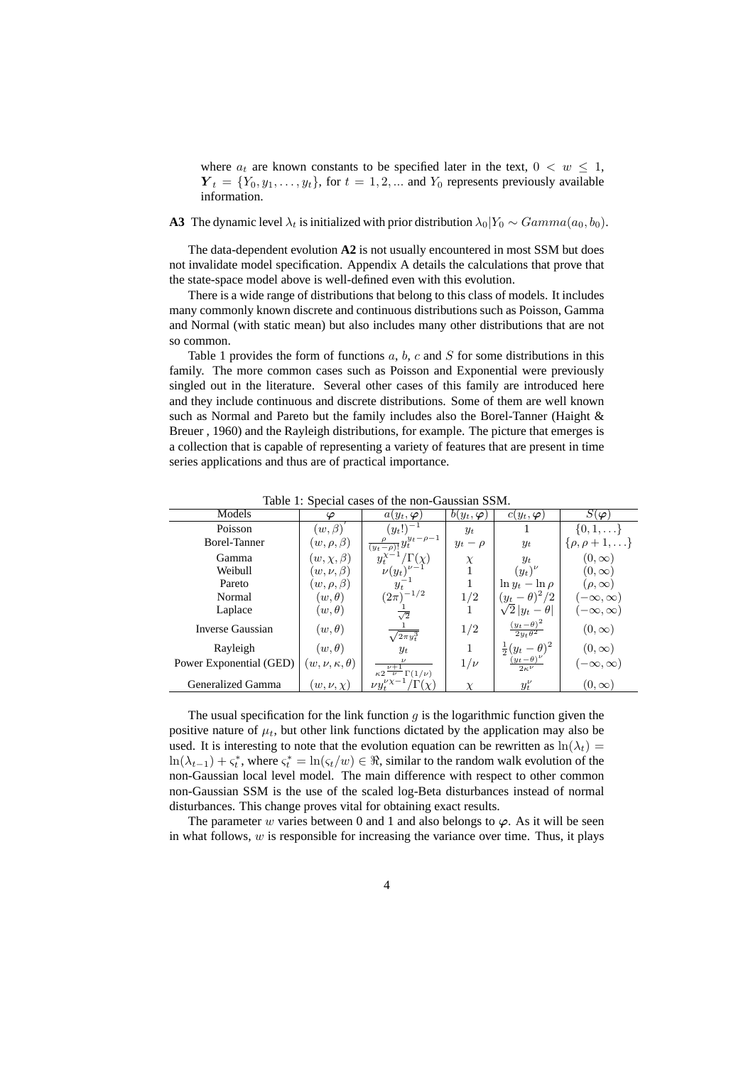where  $a_t$  are known constants to be specified later in the text,  $0 < w \leq 1$ ,  $Y_t = \{Y_0, y_1, \ldots, y_t\}$ , for  $t = 1, 2, \ldots$  and  $Y_0$  represents previously available information.

### **A3** The dynamic level  $\lambda_t$  is initialized with prior distribution  $\lambda_0|Y_0 \sim Gamma(a_0, b_0)$ .

The data-dependent evolution **A2** is not usually encountered in most SSM but does not invalidate model specification. Appendix A details the calculations that prove that the state-space model above is well-defined even with this evolution.

There is a wide range of distributions that belong to this class of models. It includes many commonly known discrete and continuous distributions such as Poisson, Gamma and Normal (with static mean) but also includes many other distributions that are not so common.

Table 1 provides the form of functions  $a, b, c$  and  $S$  for some distributions in this family. The more common cases such as Poisson and Exponential were previously singled out in the literature. Several other cases of this family are introduced here and they include continuous and discrete distributions. Some of them are well known such as Normal and Pareto but the family includes also the Borel-Tanner (Haight & Breuer , 1960) and the Rayleigh distributions, for example. The picture that emerges is a collection that is capable of representing a variety of features that are present in time series applications and thus are of practical importance.

| Models                  | $\overline{ }$<br>φ        | $a(y_t, \boldsymbol{\varphi})$                       | $b(y_t, \boldsymbol{\varphi})$ | $c(y_t, \boldsymbol{\varphi})$        | $S(\bm{\varphi})$        |
|-------------------------|----------------------------|------------------------------------------------------|--------------------------------|---------------------------------------|--------------------------|
| Poisson                 | $(w, \beta)$               | $(y_t!)^{-1}$                                        | $y_t$                          |                                       | $\{0,1,\ldots\}$         |
| Borel-Tanner            | $(w, \rho, \beta)$         | $\frac{\rho}{(y_t-\rho)!}y_t^{y_t-\rho-1}$           | $y_t - \rho$                   | $y_t$                                 | $\{\rho,\rho+1,\ldots\}$ |
| Gamma                   | $(w, \chi, \beta)$         | $\Gamma(\chi)$                                       | $\chi$                         | $y_t$                                 | $(0,\infty)$             |
| Weibull                 | $(w, \nu, \beta)$          | $\nu(y_t)$                                           |                                | $(y_t)^{\nu}$                         | $(0,\infty)$             |
| Pareto                  | $(w, \rho, \beta)$         | $y_t$                                                |                                | $\ln y_t - \ln \rho$                  | $(\rho, \infty)$         |
| Normal                  | $(w, \theta)$              | $(2\pi)^{-1/2}$                                      | 1/2                            | $(y_t-\theta)^2/2$                    | $-\infty, \infty)$       |
| Laplace                 | $(w, \theta)$              | $\overline{\sqrt{2}}$                                |                                | $\sqrt{2 y_t-\theta }$                | $-\infty, \infty)$       |
| Inverse Gaussian        | $(w, \theta)$              | $\sqrt{2\pi y_t^3}$                                  | 1/2                            | $\frac{(y_t-\theta)^2}{2y_t\theta^2}$ | $(0,\infty)$             |
| Rayleigh                | $(w, \theta)$              | $y_t$                                                |                                | $rac{1}{2}(y_t-\theta)^2$             | $(0,\infty)$             |
| Power Exponential (GED) | $(w, \nu, \kappa, \theta)$ | $\nu+1$<br>$\kappa 2 \overline{\nu}$ $\Gamma(1/\nu)$ | $1/\nu$                        | $\frac{(y_t-\theta)}{2\kappa^{\nu}}$  | $(-\infty,\infty)$       |
| Generalized Gamma       | $(w, \nu, \chi)$           | $\nu y_t^{\nu\chi-1}$                                | X                              | $y_t^{\nu}$                           | $(0,\infty)$             |

Table 1: Special cases of the non-Gaussian SSM.

The usual specification for the link function  $q$  is the logarithmic function given the positive nature of  $\mu_t$ , but other link functions dictated by the application may also be used. It is interesting to note that the evolution equation can be rewritten as  $ln(\lambda_t)$  =  $\ln(\lambda_{t-1}) + \varsigma_t^*$ , where  $\varsigma_t^* = \ln(\varsigma_t/w) \in \Re$ , similar to the random walk evolution of the non-Gaussian local level model. The main difference with respect to other common non-Gaussian SSM is the use of the scaled log-Beta disturbances instead of normal disturbances. This change proves vital for obtaining exact results.

The parameter w varies between 0 and 1 and also belongs to  $\varphi$ . As it will be seen in what follows,  $w$  is responsible for increasing the variance over time. Thus, it plays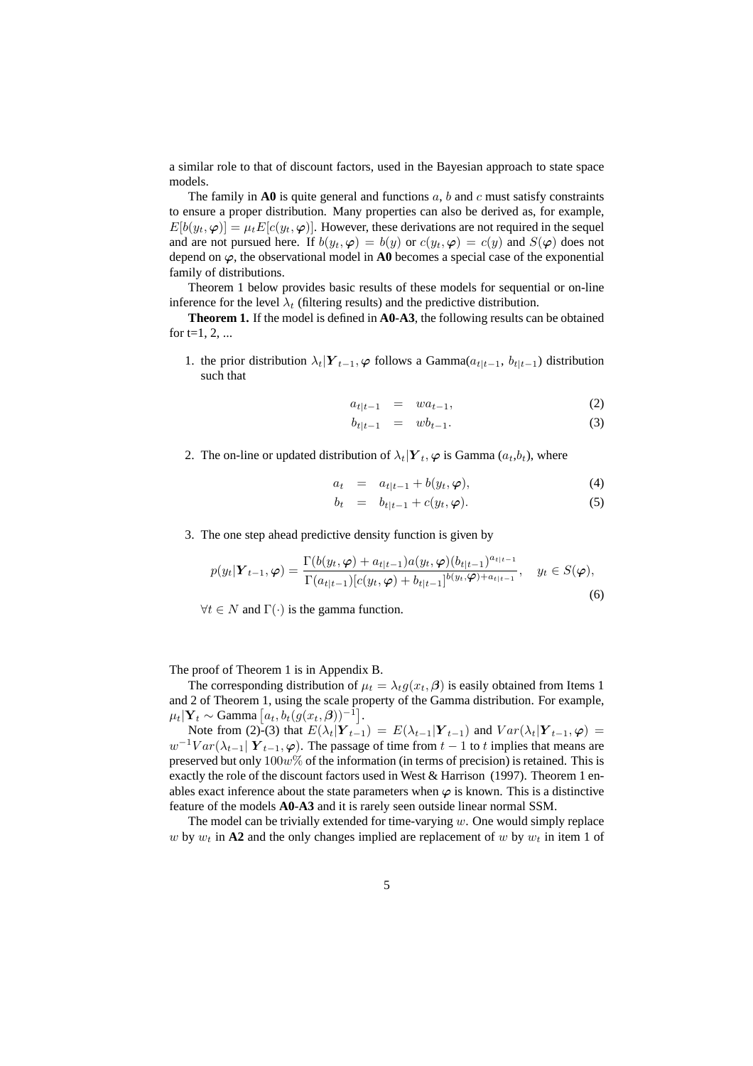a similar role to that of discount factors, used in the Bayesian approach to state space models.

The family in  $\bf{A0}$  is quite general and functions a, b and c must satisfy constraints to ensure a proper distribution. Many properties can also be derived as, for example,  $E[b(y_t, \varphi)] = \mu_t E[c(y_t, \varphi)]$ . However, these derivations are not required in the sequel and are not pursued here. If  $b(y_t, \varphi) = b(y)$  or  $c(y_t, \varphi) = c(y)$  and  $S(\varphi)$  does not depend on  $\varphi$ , the observational model in **A0** becomes a special case of the exponential family of distributions.

Theorem 1 below provides basic results of these models for sequential or on-line inference for the level  $\lambda_t$  (filtering results) and the predictive distribution.

**Theorem 1.** If the model is defined in **A0**-**A3**, the following results can be obtained for  $t=1, 2, ...$ 

1. the prior distribution  $\lambda_t|Y_{t-1}, \varphi$  follows a Gamma $(a_{t|t-1}, b_{t|t-1})$  distribution such that

$$
a_{t|t-1} = wa_{t-1}, \t\t(2)
$$

$$
b_{t|t-1} = w b_{t-1}.
$$
 (3)

2. The on-line or updated distribution of  $\lambda_t|Y_t, \varphi$  is Gamma  $(a_t, b_t)$ , where

$$
a_t = a_{t|t-1} + b(y_t, \varphi), \tag{4}
$$

$$
b_t = b_{t|t-1} + c(y_t, \varphi). \tag{5}
$$

3. The one step ahead predictive density function is given by

$$
p(y_t|\boldsymbol{Y}_{t-1}, \boldsymbol{\varphi}) = \frac{\Gamma(b(y_t, \boldsymbol{\varphi}) + a_{t|t-1})a(y_t, \boldsymbol{\varphi})(b_{t|t-1})^{a_{t|t-1}}}{\Gamma(a_{t|t-1})[c(y_t, \boldsymbol{\varphi}) + b_{t|t-1}]^{b(y_t, \boldsymbol{\varphi}) + a_{t|t-1}}}, \quad y_t \in S(\boldsymbol{\varphi}),
$$
\n(6)

 $\forall t \in N$  and  $\Gamma(\cdot)$  is the gamma function.

The proof of Theorem 1 is in Appendix B.

The corresponding distribution of  $\mu_t = \lambda_t g(x_t, \beta)$  is easily obtained from Items 1 and 2 of Theorem 1, using the scale property of the Gamma distribution. For example,  $\mu_t|\mathbf{Y}_t \sim \text{Gamma}\left[a_t, b_t(g(x_t, \boldsymbol{\beta}))^{-1}\right].$ 

Note from (2)-(3) that  $E(\lambda_t | Y_{t-1}) = E(\lambda_{t-1} | Y_{t-1})$  and  $Var(\lambda_t | Y_{t-1}, \varphi) =$  $w^{-1}Var(\lambda_{t-1} | Y_{t-1}, \varphi)$ . The passage of time from  $t-1$  to  $t$  implies that means are preserved but only  $100w\%$  of the information (in terms of precision) is retained. This is exactly the role of the discount factors used in West & Harrison (1997). Theorem 1 enables exact inference about the state parameters when  $\varphi$  is known. This is a distinctive feature of the models **A0**-**A3** and it is rarely seen outside linear normal SSM.

The model can be trivially extended for time-varying  $w$ . One would simply replace w by  $w_t$  in A2 and the only changes implied are replacement of w by  $w_t$  in item 1 of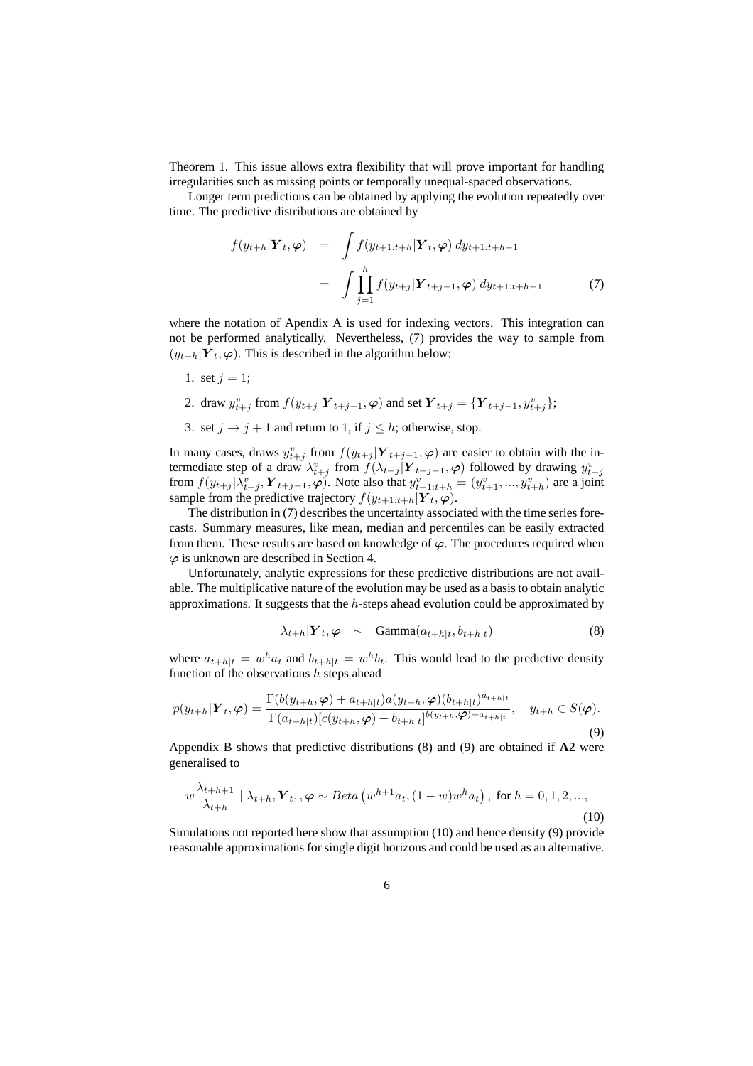Theorem 1. This issue allows extra flexibility that will prove important for handling irregularities such as missing points or temporally unequal-spaced observations.

Longer term predictions can be obtained by applying the evolution repeatedly over time. The predictive distributions are obtained by

$$
f(y_{t+h}|\mathbf{Y}_t, \varphi) = \int f(y_{t+1:t+h}|\mathbf{Y}_t, \varphi) dy_{t+1:t+h-1}
$$
  

$$
= \int \prod_{j=1}^h f(y_{t+j}|\mathbf{Y}_{t+j-1}, \varphi) dy_{t+1:t+h-1}
$$
(7)

where the notation of Apendix A is used for indexing vectors. This integration can not be performed analytically. Nevertheless, (7) provides the way to sample from  $(y_{t+h}|\boldsymbol{Y}_t, \boldsymbol{\varphi})$ . This is described in the algorithm below:

- 1. set  $j = 1$ ;
- 2. draw  $y_{t+j}^v$  from  $f(y_{t+j} | \mathbf{Y}_{t+j-1}, \varphi)$  and set  $\mathbf{Y}_{t+j} = {\mathbf{Y}_{t+j-1}, y_{t+j}^v}$ ;
- 3. set  $j \rightarrow j + 1$  and return to 1, if  $j \leq h$ ; otherwise, stop.

In many cases, draws  $y_{t+j}^v$  from  $f(y_{t+j} | Y_{t+j-1}, \varphi)$  are easier to obtain with the intermediate step of a draw  $\lambda_{t+j}^v$  from  $f(\lambda_{t+j} | \mathbf{Y}_{t+j-1}, \varphi)$  followed by drawing  $y_{t+j}^v$  from  $f(y_{t+j} | \lambda_{t+j}^v, \mathbf{Y}_{t+j-1}, \varphi)$ . Note also that  $y_{t+1:t+h}^v = (y_{t+1}^v, ..., y_{t+h}^v)$  are a joint sample from the predictive trajectory  $f(y_{t+1:t+h}|\boldsymbol{Y}_t, \boldsymbol{\varphi})$ .

The distribution in (7) describes the uncertainty associated with the time series forecasts. Summary measures, like mean, median and percentiles can be easily extracted from them. These results are based on knowledge of  $\varphi$ . The procedures required when  $\varphi$  is unknown are described in Section 4.

Unfortunately, analytic expressions for these predictive distributions are not available. The multiplicative nature of the evolution may be used as a basis to obtain analytic approximations. It suggests that the  $h$ -steps ahead evolution could be approximated by

$$
\lambda_{t+h}|\boldsymbol{Y}_t,\boldsymbol{\varphi} \sim \text{Gamma}(a_{t+h|t},b_{t+h|t}) \tag{8}
$$

where  $a_{t+h|t} = w^h a_t$  and  $b_{t+h|t} = w^h b_t$ . This would lead to the predictive density function of the observations  $h$  steps ahead

$$
p(y_{t+h}|\mathbf{Y}_{t},\boldsymbol{\varphi}) = \frac{\Gamma(b(y_{t+h},\boldsymbol{\varphi}) + a_{t+h|t})a(y_{t+h},\boldsymbol{\varphi})(b_{t+h|t})^{a_{t+h|t}}}{\Gamma(a_{t+h|t})[c(y_{t+h},\boldsymbol{\varphi}) + b_{t+h|t}]^{b(y_{t+h},\boldsymbol{\varphi}) + a_{t+h|t}}}, \quad y_{t+h} \in S(\boldsymbol{\varphi}).
$$
\n(9)

Appendix B shows that predictive distributions (8) and (9) are obtained if **A2** were generalised to

$$
w \frac{\lambda_{t+h+1}}{\lambda_{t+h}} \mid \lambda_{t+h}, \mathbf{Y}_t, \varphi \sim Beta(w^{h+1}a_t, (1-w)w^h a_t), \text{ for } h = 0, 1, 2, ...,
$$
\n(10)

Simulations not reported here show that assumption (10) and hence density (9) provide reasonable approximations for single digit horizons and could be used as an alternative.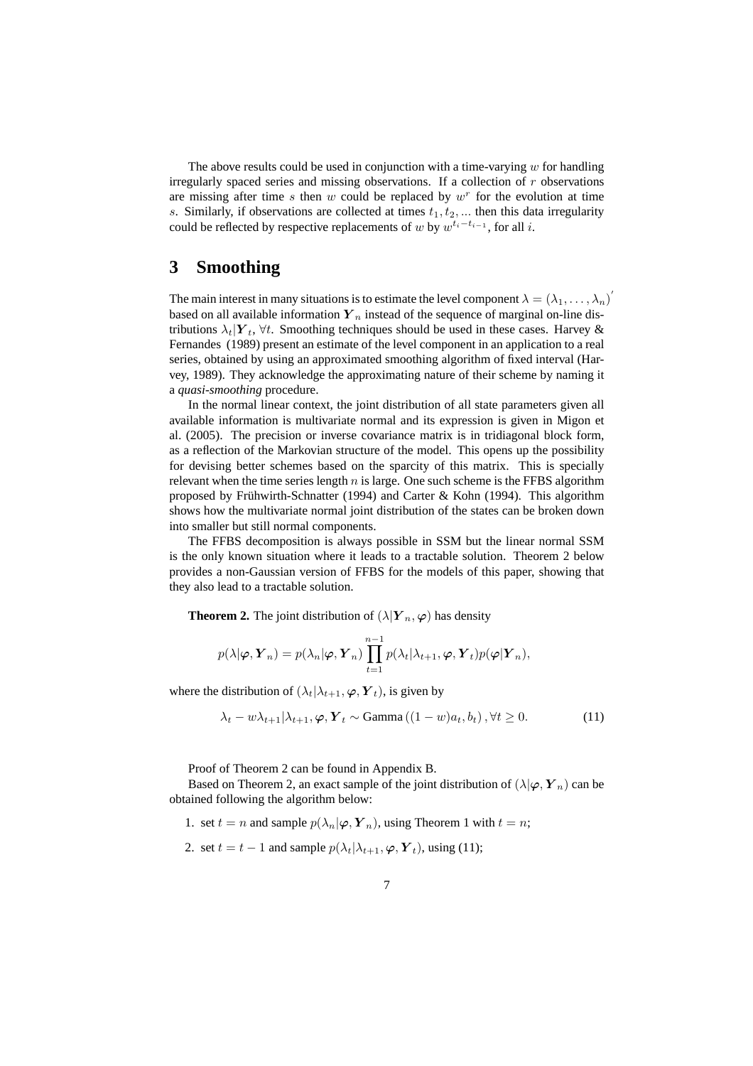The above results could be used in conjunction with a time-varying  $w$  for handling irregularly spaced series and missing observations. If a collection of r observations are missing after time  $s$  then  $w$  could be replaced by  $w<sup>r</sup>$  for the evolution at time s. Similarly, if observations are collected at times  $t_1, t_2, \ldots$  then this data irregularity could be reflected by respective replacements of w by  $w^{t_i-t_{i-1}}$ , for all i.

### **3 Smoothing**

The main interest in many situations is to estimate the level component  $\lambda = (\lambda_1, \dots, \lambda_n)'$ based on all available information  $Y_n$  instead of the sequence of marginal on-line distributions  $\lambda_t|\mathbf{Y}_t, \forall t$ . Smoothing techniques should be used in these cases. Harvey & Fernandes (1989) present an estimate of the level component in an application to a real series, obtained by using an approximated smoothing algorithm of fixed interval (Harvey, 1989). They acknowledge the approximating nature of their scheme by naming it a *quasi-smoothing* procedure.

In the normal linear context, the joint distribution of all state parameters given all available information is multivariate normal and its expression is given in Migon et al. (2005). The precision or inverse covariance matrix is in tridiagonal block form, as a reflection of the Markovian structure of the model. This opens up the possibility for devising better schemes based on the sparcity of this matrix. This is specially relevant when the time series length  $n$  is large. One such scheme is the FFBS algorithm proposed by Frühwirth-Schnatter (1994) and Carter & Kohn (1994). This algorithm shows how the multivariate normal joint distribution of the states can be broken down into smaller but still normal components.

The FFBS decomposition is always possible in SSM but the linear normal SSM is the only known situation where it leads to a tractable solution. Theorem 2 below provides a non-Gaussian version of FFBS for the models of this paper, showing that they also lead to a tractable solution.

**Theorem 2.** The joint distribution of  $(\lambda | Y_n, \varphi)$  has density

$$
p(\lambda | \boldsymbol{\varphi}, \boldsymbol{Y}_n) = p(\lambda_n | \boldsymbol{\varphi}, \boldsymbol{Y}_n) \prod_{t=1}^{n-1} p(\lambda_t | \lambda_{t+1}, \boldsymbol{\varphi}, \boldsymbol{Y}_t) p(\boldsymbol{\varphi} | \boldsymbol{Y}_n),
$$

where the distribution of  $(\lambda_t|\lambda_{t+1}, \varphi, Y_t)$ , is given by

$$
\lambda_t - w\lambda_{t+1}|\lambda_{t+1}, \varphi, Y_t \sim \text{Gamma}\left( (1-w)a_t, b_t \right), \forall t \ge 0. \tag{11}
$$

Proof of Theorem 2 can be found in Appendix B.

Based on Theorem 2, an exact sample of the joint distribution of  $(\lambda | \varphi, Y_n)$  can be obtained following the algorithm below:

1. set  $t = n$  and sample  $p(\lambda_n | \varphi, Y_n)$ , using Theorem 1 with  $t = n$ ;

2. set  $t = t - 1$  and sample  $p(\lambda_t | \lambda_{t+1}, \varphi, Y_t)$ , using (11);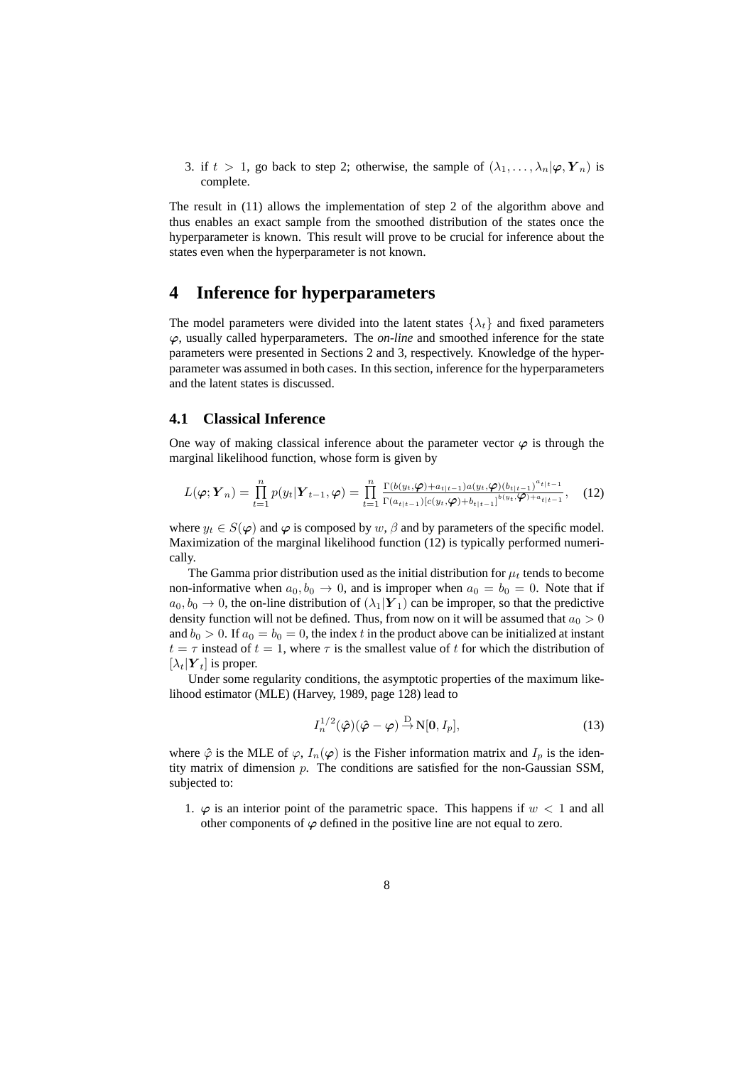3. if  $t > 1$ , go back to step 2; otherwise, the sample of  $(\lambda_1, \dots, \lambda_n | \varphi, Y_n)$  is complete.

The result in (11) allows the implementation of step 2 of the algorithm above and thus enables an exact sample from the smoothed distribution of the states once the hyperparameter is known. This result will prove to be crucial for inference about the states even when the hyperparameter is not known.

### **4 Inference for hyperparameters**

The model parameters were divided into the latent states  $\{\lambda_t\}$  and fixed parameters ϕ, usually called hyperparameters. The *on-line* and smoothed inference for the state parameters were presented in Sections 2 and 3, respectively. Knowledge of the hyperparameter was assumed in both cases. In this section, inference for the hyperparameters and the latent states is discussed.

#### **4.1 Classical Inference**

One way of making classical inference about the parameter vector  $\varphi$  is through the marginal likelihood function, whose form is given by

$$
L(\boldsymbol{\varphi}; \boldsymbol{Y}_n) = \prod_{t=1}^n p(y_t | \boldsymbol{Y}_{t-1}, \boldsymbol{\varphi}) = \prod_{t=1}^n \frac{\Gamma(b(y_t, \boldsymbol{\varphi}) + a_{t|t-1}) a(y_t, \boldsymbol{\varphi}) (b_{t|t-1})^{a_t|t-1}}{\Gamma(a_{t|t-1}) [c(y_t, \boldsymbol{\varphi}) + b_{t|t-1}]}^{b(y_t, \boldsymbol{\varphi}) (b_{t|t-1})^{a_t|t-1}}, \quad (12)
$$

where  $y_t \in S(\varphi)$  and  $\varphi$  is composed by w,  $\beta$  and by parameters of the specific model. Maximization of the marginal likelihood function (12) is typically performed numerically.

The Gamma prior distribution used as the initial distribution for  $\mu_t$  tends to become non-informative when  $a_0, b_0 \rightarrow 0$ , and is improper when  $a_0 = b_0 = 0$ . Note that if  $a_0, b_0 \to 0$ , the on-line distribution of  $(\lambda_1|\boldsymbol{Y}_1)$  can be improper, so that the predictive density function will not be defined. Thus, from now on it will be assumed that  $a_0 > 0$ and  $b_0 > 0$ . If  $a_0 = b_0 = 0$ , the index t in the product above can be initialized at instant  $t = \tau$  instead of  $t = 1$ , where  $\tau$  is the smallest value of t for which the distribution of  $[\lambda_t|\boldsymbol{Y}_t]$  is proper.

Under some regularity conditions, the asymptotic properties of the maximum likelihood estimator (MLE) (Harvey, 1989, page 128) lead to

$$
I_n^{1/2}(\hat{\varphi})(\hat{\varphi}-\varphi) \stackrel{\mathcal{D}}{\rightarrow} \mathcal{N}[0, I_p],\tag{13}
$$

where  $\hat{\varphi}$  is the MLE of  $\varphi$ ,  $I_n(\varphi)$  is the Fisher information matrix and  $I_p$  is the identity matrix of dimension p. The conditions are satisfied for the non-Gaussian SSM, subjected to:

1.  $\varphi$  is an interior point of the parametric space. This happens if  $w < 1$  and all other components of  $\varphi$  defined in the positive line are not equal to zero.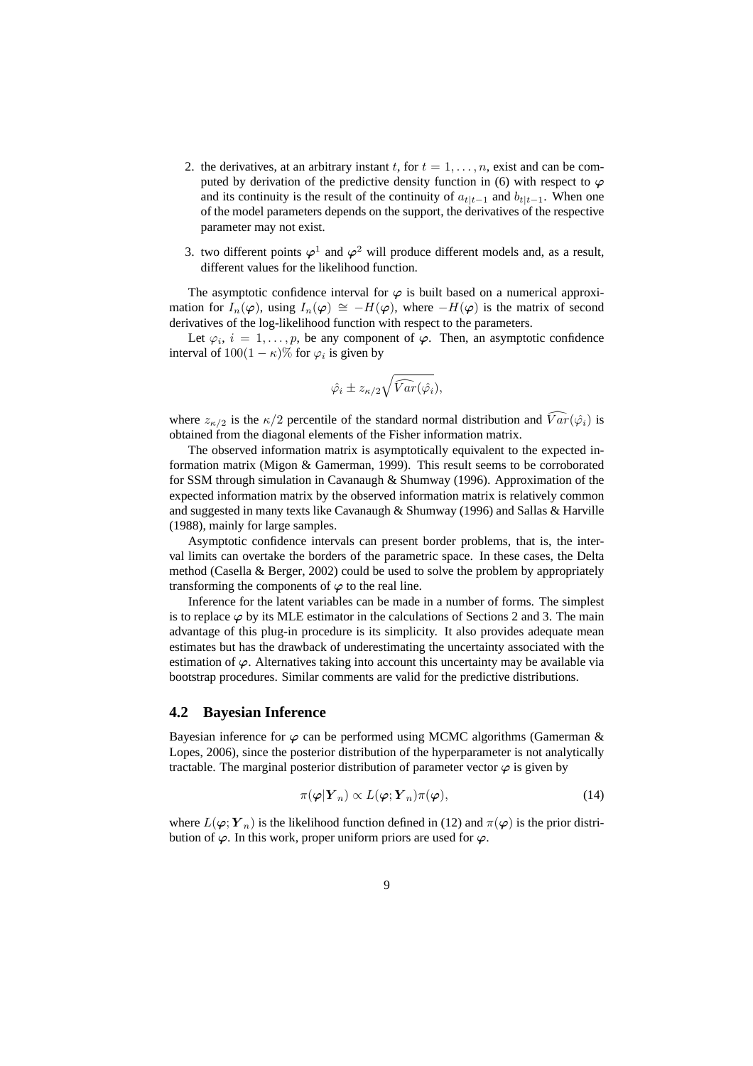- 2. the derivatives, at an arbitrary instant t, for  $t = 1, \ldots, n$ , exist and can be computed by derivation of the predictive density function in (6) with respect to  $\varphi$ and its continuity is the result of the continuity of  $a_{t|t-1}$  and  $b_{t|t-1}$ . When one of the model parameters depends on the support, the derivatives of the respective parameter may not exist.
- 3. two different points  $\varphi^1$  and  $\varphi^2$  will produce different models and, as a result, different values for the likelihood function.

The asymptotic confidence interval for  $\varphi$  is built based on a numerical approximation for  $I_n(\varphi)$ , using  $I_n(\varphi) \cong -H(\varphi)$ , where  $-H(\varphi)$  is the matrix of second derivatives of the log-likelihood function with respect to the parameters.

Let  $\varphi_i$ ,  $i = 1, \ldots, p$ , be any component of  $\varphi$ . Then, an asymptotic confidence interval of  $100(1 - \kappa)\%$  for  $\varphi_i$  is given by

$$
\hat{\varphi_i} \pm z_{\kappa/2} \sqrt{\widehat{Var}(\hat{\varphi_i})},
$$

where  $z_{\kappa/2}$  is the  $\kappa/2$  percentile of the standard normal distribution and  $\widehat{Var}(\hat{\varphi}_i)$  is obtained from the diagonal elements of the Fisher information matrix.

The observed information matrix is asymptotically equivalent to the expected information matrix (Migon & Gamerman, 1999). This result seems to be corroborated for SSM through simulation in Cavanaugh & Shumway (1996). Approximation of the expected information matrix by the observed information matrix is relatively common and suggested in many texts like Cavanaugh & Shumway (1996) and Sallas & Harville (1988), mainly for large samples.

Asymptotic confidence intervals can present border problems, that is, the interval limits can overtake the borders of the parametric space. In these cases, the Delta method (Casella & Berger, 2002) could be used to solve the problem by appropriately transforming the components of  $\varphi$  to the real line.

Inference for the latent variables can be made in a number of forms. The simplest is to replace  $\varphi$  by its MLE estimator in the calculations of Sections 2 and 3. The main advantage of this plug-in procedure is its simplicity. It also provides adequate mean estimates but has the drawback of underestimating the uncertainty associated with the estimation of  $\varphi$ . Alternatives taking into account this uncertainty may be available via bootstrap procedures. Similar comments are valid for the predictive distributions.

#### **4.2 Bayesian Inference**

Bayesian inference for  $\varphi$  can be performed using MCMC algorithms (Gamerman & Lopes, 2006), since the posterior distribution of the hyperparameter is not analytically tractable. The marginal posterior distribution of parameter vector  $\varphi$  is given by

$$
\pi(\boldsymbol{\varphi}|\boldsymbol{Y}_n) \propto L(\boldsymbol{\varphi};\boldsymbol{Y}_n)\pi(\boldsymbol{\varphi}),\tag{14}
$$

where  $L(\varphi; \boldsymbol{Y}_n)$  is the likelihood function defined in (12) and  $\pi(\varphi)$  is the prior distribution of  $\varphi$ . In this work, proper uniform priors are used for  $\varphi$ .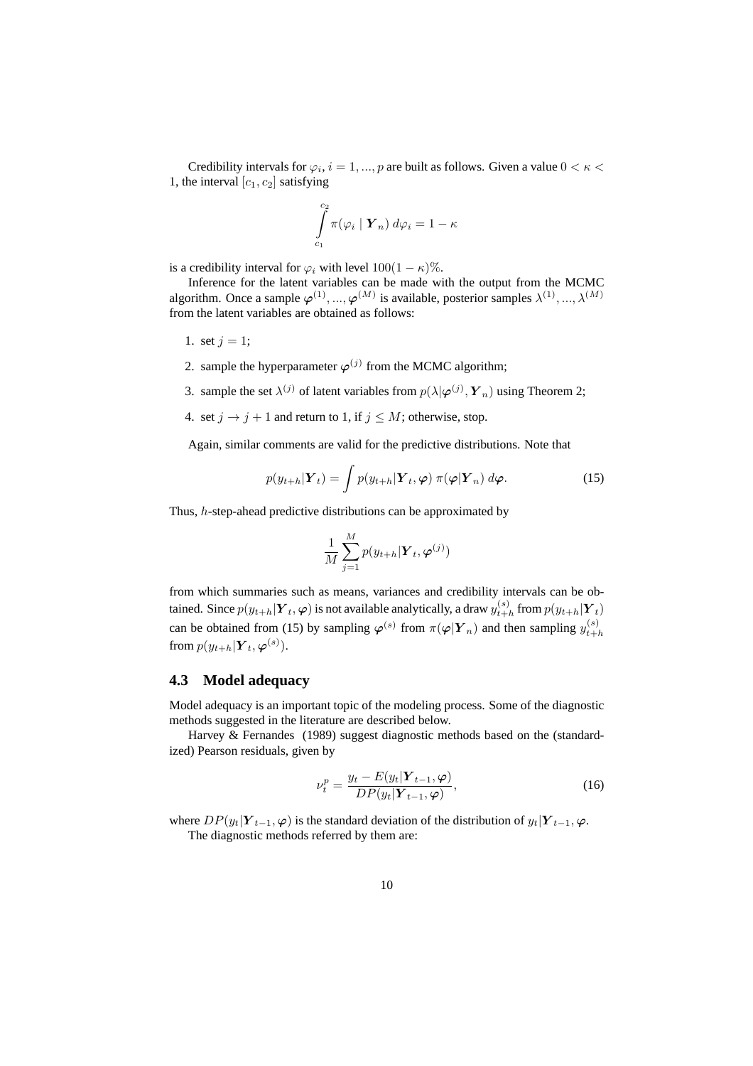Credibility intervals for  $\varphi_i$ ,  $i = 1, ..., p$  are built as follows. Given a value  $0 < \kappa <$ 1, the interval  $[c_1, c_2]$  satisfying

$$
\int_{c_1}^{c_2} \pi(\varphi_i \mid \boldsymbol{Y}_n) \, d\varphi_i = 1 - \kappa
$$

is a credibility interval for  $\varphi_i$  with level  $100(1 - \kappa)\%$ .

Inference for the latent variables can be made with the output from the MCMC algorithm. Once a sample  $\varphi^{(1)},...,\varphi^{(M)}$  is available, posterior samples  $\lambda^{(1)},...,\lambda^{(M)}$ from the latent variables are obtained as follows:

- 1. set  $j = 1$ ;
- 2. sample the hyperparameter  $\varphi^{(j)}$  from the MCMC algorithm;
- 3. sample the set  $\lambda^{(j)}$  of latent variables from  $p(\lambda | \boldsymbol{\varphi}^{(j)}, \boldsymbol{Y}_n)$  using Theorem 2;
- 4. set  $j \rightarrow j + 1$  and return to 1, if  $j \leq M$ ; otherwise, stop.

Again, similar comments are valid for the predictive distributions. Note that

$$
p(y_{t+h}|\boldsymbol{Y}_t) = \int p(y_{t+h}|\boldsymbol{Y}_t, \boldsymbol{\varphi}) \, \pi(\boldsymbol{\varphi}|\boldsymbol{Y}_n) \, d\boldsymbol{\varphi}.\tag{15}
$$

Thus, h-step-ahead predictive distributions can be approximated by

$$
\frac{1}{M}\sum_{j=1}^{M}p(y_{t+h}|\boldsymbol{Y}_{t},\boldsymbol{\varphi}^{(j)})
$$

from which summaries such as means, variances and credibility intervals can be obtained. Since  $p(y_{t+h}|\boldsymbol{Y}_{t},\boldsymbol{\varphi})$  is not available analytically, a draw  $y_{t+h}^{(s)}$  $_{t+h}^{(s)}$  from  $p(y_{t+h}|\boldsymbol{Y}_t)$ can be obtained from (15) by sampling  $\varphi^{(s)}$  from  $\pi(\varphi|Y_n)$  and then sampling  $y_{t+i}^{(s)}$  $_{t+h}$ from  $p(y_{t+h}|\boldsymbol{Y}_t, \boldsymbol{\varphi}^{(s)}).$ 

#### **4.3 Model adequacy**

Model adequacy is an important topic of the modeling process. Some of the diagnostic methods suggested in the literature are described below.

Harvey & Fernandes (1989) suggest diagnostic methods based on the (standardized) Pearson residuals, given by

$$
\nu_t^p = \frac{y_t - E(y_t | \mathbf{Y}_{t-1}, \boldsymbol{\varphi})}{DP(y_t | \mathbf{Y}_{t-1}, \boldsymbol{\varphi})},\tag{16}
$$

where  $DP(y_t|Y_{t-1}, \varphi)$  is the standard deviation of the distribution of  $y_t|Y_{t-1}, \varphi$ . The diagnostic methods referred by them are: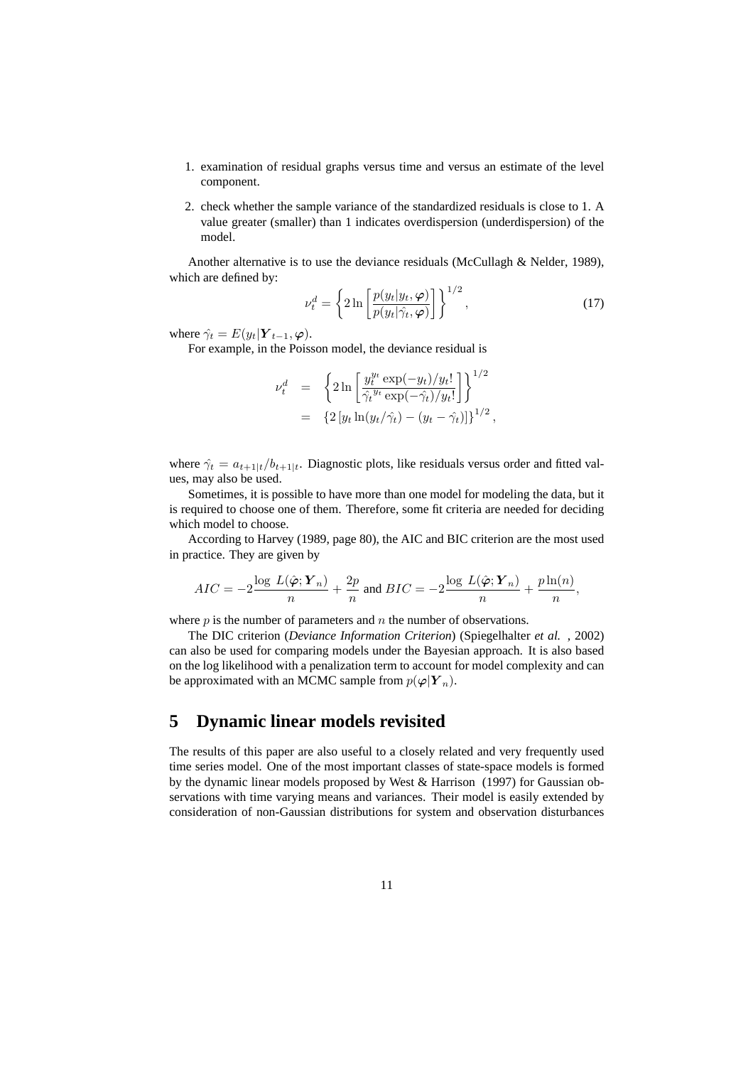- 1. examination of residual graphs versus time and versus an estimate of the level component.
- 2. check whether the sample variance of the standardized residuals is close to 1. A value greater (smaller) than 1 indicates overdispersion (underdispersion) of the model.

Another alternative is to use the deviance residuals (McCullagh & Nelder, 1989), which are defined by:  $1/2$ 

$$
\nu_t^d = \left\{ 2 \ln \left[ \frac{p(y_t|y_t, \varphi)}{p(y_t|\hat{\gamma}_t, \varphi)} \right] \right\}^{1/2},\tag{17}
$$

where  $\hat{\gamma_t} = E(y_t | \mathbf{Y}_{t-1}, \varphi)$ .

For example, in the Poisson model, the deviance residual is

$$
\nu_t^d = \left\{ 2 \ln \left[ \frac{y_t^{y_t} \exp(-y_t)/y_t!}{\hat{\gamma}_t^{y_t} \exp(-\hat{\gamma}_t)/y_t!} \right] \right\}^{1/2}
$$
  
=  $\left\{ 2 \left[ y_t \ln(y_t/\hat{\gamma}_t) - (y_t - \hat{\gamma}_t) \right] \right\}^{1/2},$ 

where  $\hat{\gamma}_t = a_{t+1|t}/b_{t+1|t}$ . Diagnostic plots, like residuals versus order and fitted values, may also be used.

Sometimes, it is possible to have more than one model for modeling the data, but it is required to choose one of them. Therefore, some fit criteria are needed for deciding which model to choose.

According to Harvey (1989, page 80), the AIC and BIC criterion are the most used in practice. They are given by

$$
AIC = -2\frac{\log\,L(\hat{\boldsymbol{\varphi}}; \boldsymbol{Y}_n)}{n} + \frac{2p}{n} \text{ and } BIC = -2\frac{\log\,L(\hat{\boldsymbol{\varphi}}; \boldsymbol{Y}_n)}{n} + \frac{p\ln(n)}{n},
$$

where  $p$  is the number of parameters and  $n$  the number of observations.

The DIC criterion (*Deviance Information Criterion*) (Spiegelhalter *et al.* , 2002) can also be used for comparing models under the Bayesian approach. It is also based on the log likelihood with a penalization term to account for model complexity and can be approximated with an MCMC sample from  $p(\varphi|Y_n)$ .

# **5 Dynamic linear models revisited**

The results of this paper are also useful to a closely related and very frequently used time series model. One of the most important classes of state-space models is formed by the dynamic linear models proposed by West & Harrison (1997) for Gaussian observations with time varying means and variances. Their model is easily extended by consideration of non-Gaussian distributions for system and observation disturbances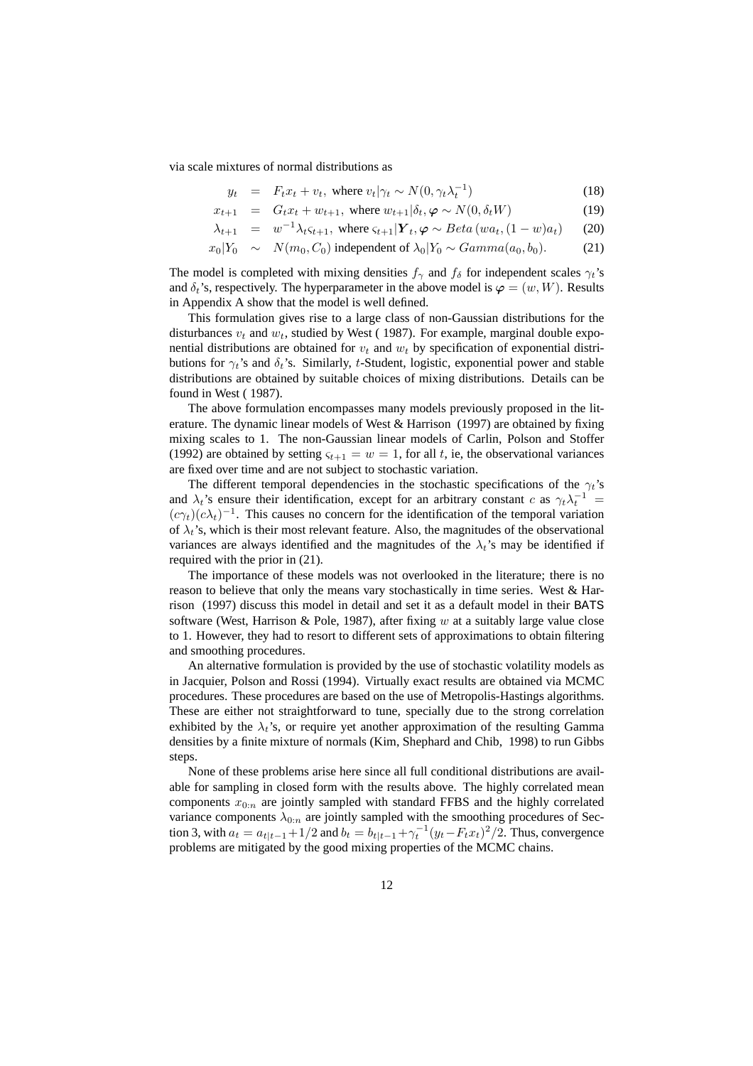via scale mixtures of normal distributions as

$$
y_t = F_t x_t + v_t, \text{ where } v_t | \gamma_t \sim N(0, \gamma_t \lambda_t^{-1})
$$
\n(18)

$$
x_{t+1} = G_t x_t + w_{t+1}, \text{ where } w_{t+1} | \delta_t, \varphi \sim N(0, \delta_t W) \tag{19}
$$

$$
\lambda_{t+1} = w^{-1} \lambda_t \varsigma_{t+1}, \text{ where } \varsigma_{t+1} | \mathbf{Y}_t, \varphi \sim Beta(wa_t, (1-w)a_t) \tag{20}
$$

$$
x_0|Y_0 \sim N(m_0, C_0)
$$
 independent of  $\lambda_0|Y_0 \sim Gamma(a_0, b_0)$ . (21)

The model is completed with mixing densities  $f_\gamma$  and  $f_\delta$  for independent scales  $\gamma_t$ 's and  $\delta_t$ 's, respectively. The hyperparameter in the above model is  $\varphi = (w, W)$ . Results in Appendix A show that the model is well defined.

This formulation gives rise to a large class of non-Gaussian distributions for the disturbances  $v_t$  and  $w_t$ , studied by West (1987). For example, marginal double exponential distributions are obtained for  $v_t$  and  $w_t$  by specification of exponential distributions for  $\gamma_t$ 's and  $\delta_t$ 's. Similarly, t-Student, logistic, exponential power and stable distributions are obtained by suitable choices of mixing distributions. Details can be found in West ( 1987).

The above formulation encompasses many models previously proposed in the literature. The dynamic linear models of West & Harrison (1997) are obtained by fixing mixing scales to 1. The non-Gaussian linear models of Carlin, Polson and Stoffer (1992) are obtained by setting  $\varsigma_{t+1} = w = 1$ , for all t, ie, the observational variances are fixed over time and are not subject to stochastic variation.

The different temporal dependencies in the stochastic specifications of the  $\gamma_t$ 's and  $\lambda_t$ 's ensure their identification, except for an arbitrary constant c as  $\gamma_t \lambda_t^{-1}$  =  $(c\gamma_t)(c\lambda_t)^{-1}$ . This causes no concern for the identification of the temporal variation of  $\lambda_t$ 's, which is their most relevant feature. Also, the magnitudes of the observational variances are always identified and the magnitudes of the  $\lambda_t$ 's may be identified if required with the prior in (21).

The importance of these models was not overlooked in the literature; there is no reason to believe that only the means vary stochastically in time series. West & Harrison (1997) discuss this model in detail and set it as a default model in their BATS software (West, Harrison & Pole, 1987), after fixing  $w$  at a suitably large value close to 1. However, they had to resort to different sets of approximations to obtain filtering and smoothing procedures.

An alternative formulation is provided by the use of stochastic volatility models as in Jacquier, Polson and Rossi (1994). Virtually exact results are obtained via MCMC procedures. These procedures are based on the use of Metropolis-Hastings algorithms. These are either not straightforward to tune, specially due to the strong correlation exhibited by the  $\lambda_t$ 's, or require yet another approximation of the resulting Gamma densities by a finite mixture of normals (Kim, Shephard and Chib, 1998) to run Gibbs steps.

None of these problems arise here since all full conditional distributions are available for sampling in closed form with the results above. The highly correlated mean components  $x_{0:n}$  are jointly sampled with standard FFBS and the highly correlated variance components  $\lambda_{0:n}$  are jointly sampled with the smoothing procedures of Section 3, with  $a_t = a_{t|t-1} + 1/2$  and  $b_t = b_{t|t-1} + \gamma_t^{-1} (y_t - F_t x_t)^2 / 2$ . Thus, convergence problems are mitigated by the good mixing properties of the MCMC chains.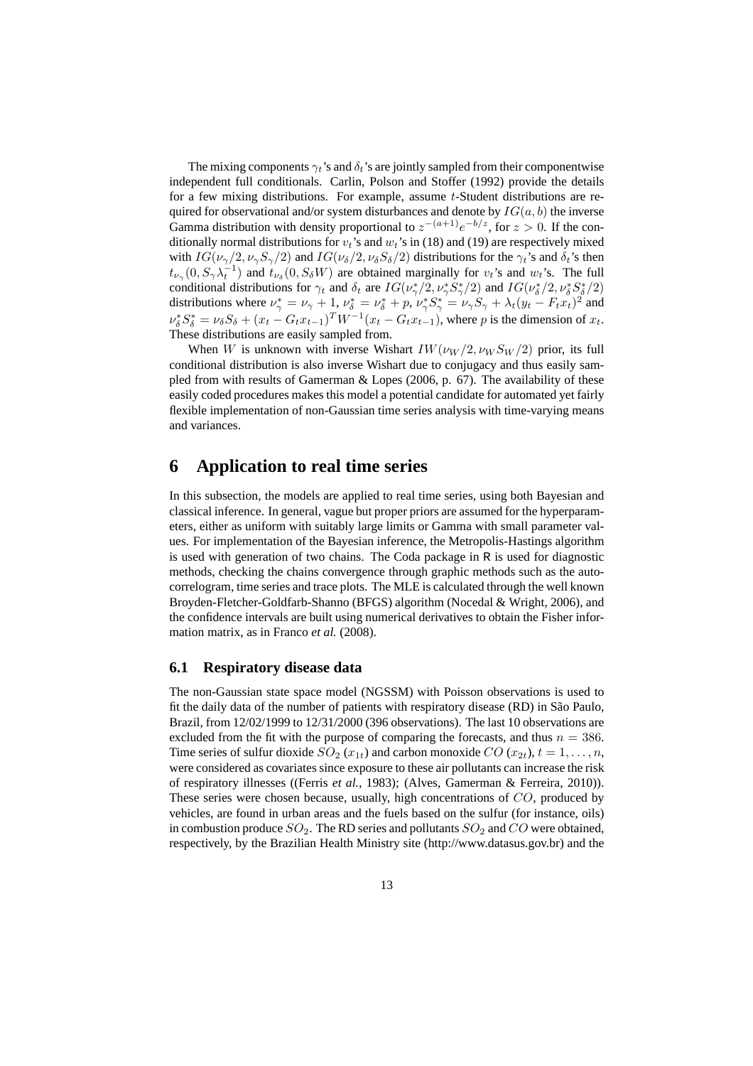The mixing components  $\gamma_t$ 's and  $\delta_t$ 's are jointly sampled from their componentwise independent full conditionals. Carlin, Polson and Stoffer (1992) provide the details for a few mixing distributions. For example, assume t-Student distributions are required for observational and/or system disturbances and denote by  $IG(a, b)$  the inverse Gamma distribution with density proportional to  $z^{-(a+1)}e^{-b/z}$ , for  $z > 0$ . If the conditionally normal distributions for  $v_t$ 's and  $w_t$ 's in (18) and (19) are respectively mixed with  $IG(\nu_{\gamma}/2, \nu_{\gamma}S_{\gamma}/2)$  and  $IG(\nu_{\delta}/2, \nu_{\delta}S_{\delta}/2)$  distributions for the  $\gamma_t$ 's and  $\delta_t$ 's then  $t_{\nu_{\gamma}}(0, S_{\gamma} \lambda_t^{-1})$  and  $t_{\nu_{\delta}}(0, S_{\delta} W)$  are obtained marginally for  $v_t$ 's and  $w_t$ 's. The full conditional distributions for  $\gamma_t$  and  $\delta_t$  are  $IG(\nu_\gamma^*/2, \nu_\gamma^* S_\gamma^*/2)$  and  $IG(\nu_\delta^*/2, \nu_\delta^* S_\delta^*/2)$ distributions where  $\nu^*_{\gamma} = \nu_{\gamma} + 1$ ,  $\nu^*_{\delta} = \nu^*_{\delta} + p$ ,  $\nu^*_{\gamma} S^*_{\gamma} = \nu_{\gamma} S_{\gamma} + \lambda_t (y_t - F_t x_t)^2$  and  $\nu_{\delta}^* S_{\delta}^* = \nu_{\delta} S_{\delta} + (x_t - G_t x_{t-1})^T W^{-1} (x_t - G_t x_{t-1})$ , where p is the dimension of  $x_t$ . These distributions are easily sampled from.

When W is unknown with inverse Wishart  $IW(\nu_W/2, \nu_W S_W/2)$  prior, its full conditional distribution is also inverse Wishart due to conjugacy and thus easily sampled from with results of Gamerman & Lopes (2006, p.  $67$ ). The availability of these easily coded procedures makes this model a potential candidate for automated yet fairly flexible implementation of non-Gaussian time series analysis with time-varying means and variances.

### **6 Application to real time series**

In this subsection, the models are applied to real time series, using both Bayesian and classical inference. In general, vague but proper priors are assumed for the hyperparameters, either as uniform with suitably large limits or Gamma with small parameter values. For implementation of the Bayesian inference, the Metropolis-Hastings algorithm is used with generation of two chains. The Coda package in R is used for diagnostic methods, checking the chains convergence through graphic methods such as the autocorrelogram, time series and trace plots. The MLE is calculated through the well known Broyden-Fletcher-Goldfarb-Shanno (BFGS) algorithm (Nocedal & Wright, 2006), and the confidence intervals are built using numerical derivatives to obtain the Fisher information matrix, as in Franco *et al.* (2008).

#### **6.1 Respiratory disease data**

The non-Gaussian state space model (NGSSM) with Poisson observations is used to fit the daily data of the number of patients with respiratory disease (RD) in São Paulo, Brazil, from 12/02/1999 to 12/31/2000 (396 observations). The last 10 observations are excluded from the fit with the purpose of comparing the forecasts, and thus  $n = 386$ . Time series of sulfur dioxide  $SO_2(x_{1t})$  and carbon monoxide  $CO(x_{2t}), t = 1, \ldots, n$ , were considered as covariates since exposure to these air pollutants can increase the risk of respiratory illnesses ((Ferris *et al.*, 1983); (Alves, Gamerman & Ferreira, 2010)). These series were chosen because, usually, high concentrations of CO, produced by vehicles, are found in urban areas and the fuels based on the sulfur (for instance, oils) in combustion produce  $SO_2$ . The RD series and pollutants  $SO_2$  and  $CO$  were obtained, respectively, by the Brazilian Health Ministry site (http://www.datasus.gov.br) and the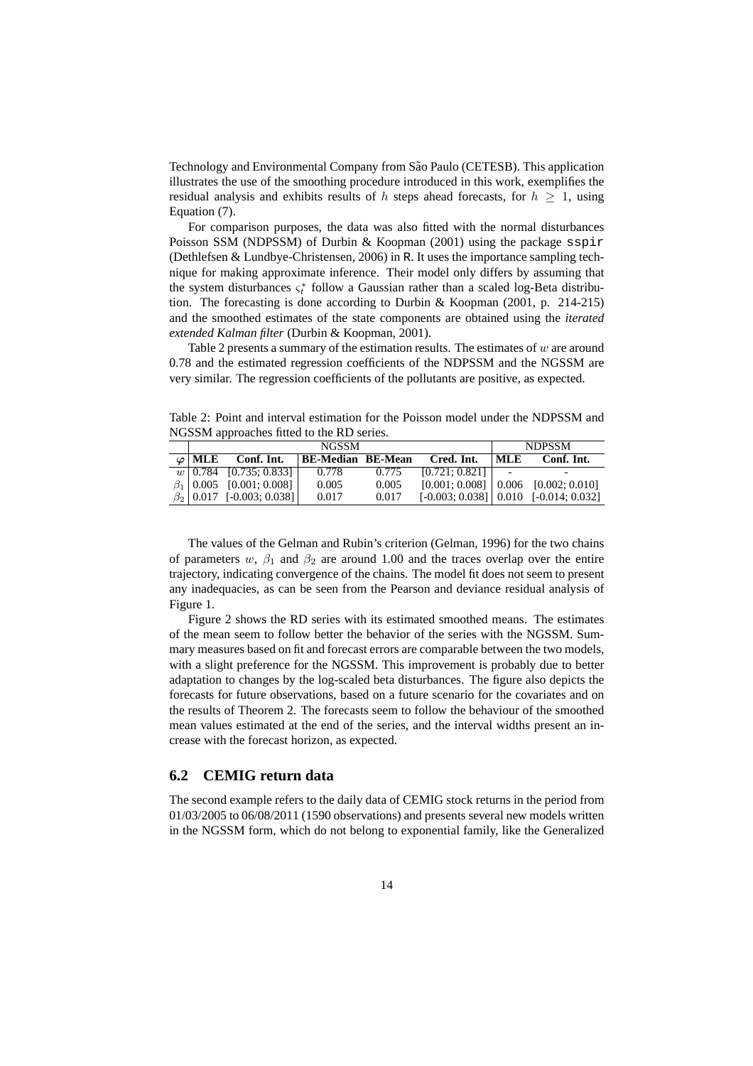Technology and Environmental Company from São Paulo (CETESB). This application illustrates the use of the smoothing procedure introduced in this work, exemplifies the residual analysis and exhibits results of h steps ahead forecasts, for  $h \geq 1$ , using Equation (7).

For comparison purposes, the data was also fitted with the normal disturbances Poisson SSM (NDPSSM) of Durbin & Koopman (2001) using the package sspir (Dethlefsen & Lundbye-Christensen, 2006) in R. It uses the importance sampling technique for making approximate inference. Their model only differs by assuming that the system disturbances  $\varsigma_t^*$  follow a Gaussian rather than a scaled log-Beta distribution. The forecasting is done according to Durbin & Koopman (2001, p. 214-215) and the smoothed estimates of the state components are obtained using the *iterated extended Kalman filter* (Durbin & Koopman, 2001).

Table 2 presents a summary of the estimation results. The estimates of  $w$  are around 0.78 and the estimated regression coefficients of the NDPSSM and the NGSSM are very similar. The regression coefficients of the pollutants are positive, as expected.

Table 2: Point and interval estimation for the Poisson model under the NDPSSM and NGSSM approaches fitted to the RD series.

| <b>NGSSM</b>    |                                   |                          |       |               | <b>NDPSSM</b>            |                                            |
|-----------------|-----------------------------------|--------------------------|-------|---------------|--------------------------|--------------------------------------------|
| $\varphi$   MLE | Conf. Int.                        | <b>BE-Median BE-Mean</b> |       | Cred. Int.    | ML E                     | Conf. Int.                                 |
|                 | $\boxed{w}$ 0.784 [0.735; 0.833]  | 0.778                    | 0.775 | [0.721:0.821] | $\overline{\phantom{0}}$ |                                            |
|                 | $\beta_1$   0.005 [0.001; 0.008]  | 0.005                    | 0.005 |               |                          | $[0.001; 0.008]$ $[0.006$ $[0.002; 0.010]$ |
|                 | $\beta_2$   0.017 [-0.003; 0.038] | 0.017                    | 0.017 |               |                          | $[-0.003; 0.038]$ 0.010 $[-0.014; 0.032]$  |

The values of the Gelman and Rubin's criterion (Gelman, 1996) for the two chains of parameters w,  $\beta_1$  and  $\beta_2$  are around 1.00 and the traces overlap over the entire trajectory, indicating convergence of the chains. The model fit does not seem to present any inadequacies, as can be seen from the Pearson and deviance residual analysis of Figure 1.

Figure 2 shows the RD series with its estimated smoothed means. The estimates of the mean seem to follow better the behavior of the series with the NGSSM. Summary measures based on fit and forecast errors are comparable between the two models, with a slight preference for the NGSSM. This improvement is probably due to better adaptation to changes by the log-scaled beta disturbances. The figure also depicts the forecasts for future observations, based on a future scenario for the covariates and on the results of Theorem 2. The forecasts seem to follow the behaviour of the smoothed mean values estimated at the end of the series, and the interval widths present an increase with the forecast horizon, as expected.

#### **6.2 CEMIG return data**

The second example refers to the daily data of CEMIG stock returns in the period from 01/03/2005 to 06/08/2011 (1590 observations) and presents several new models written in the NGSSM form, which do not belong to exponential family, like the Generalized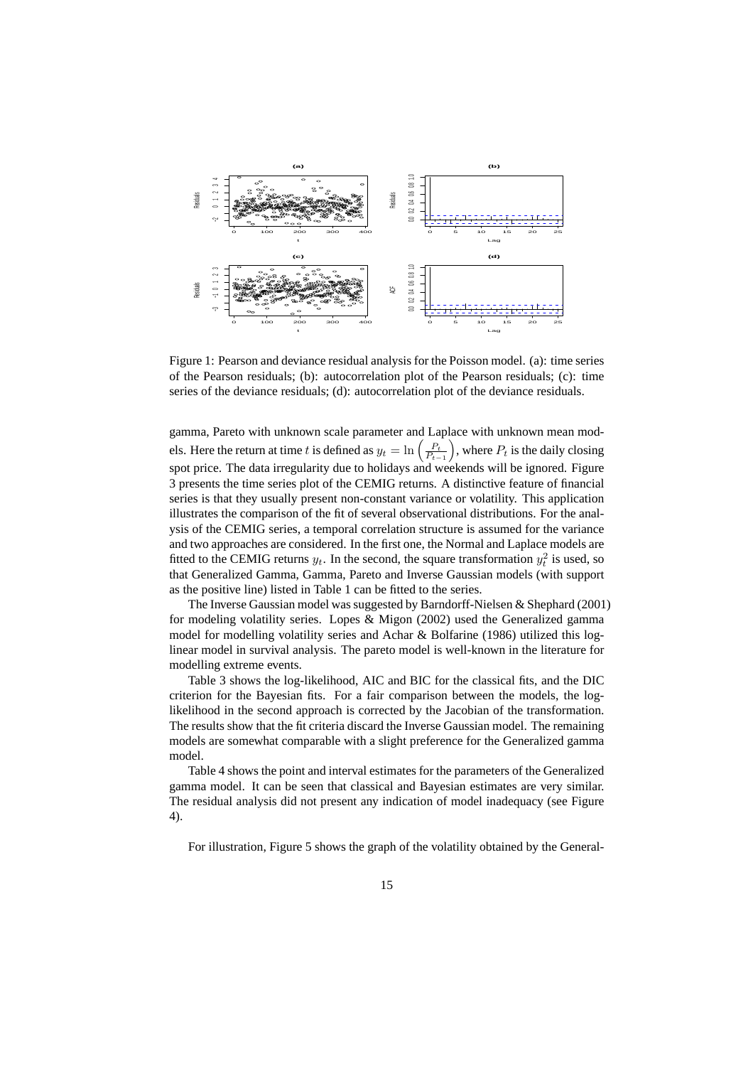

Figure 1: Pearson and deviance residual analysis for the Poisson model. (a): time series of the Pearson residuals; (b): autocorrelation plot of the Pearson residuals; (c): time series of the deviance residuals; (d): autocorrelation plot of the deviance residuals.

gamma, Pareto with unknown scale parameter and Laplace with unknown mean models. Here the return at time t is defined as  $y_t = \ln\left(\frac{P_t}{P_{t-1}}\right)$ ), where  $P_t$  is the daily closing spot price. The data irregularity due to holidays and weekends will be ignored. Figure 3 presents the time series plot of the CEMIG returns. A distinctive feature of financial series is that they usually present non-constant variance or volatility. This application illustrates the comparison of the fit of several observational distributions. For the analysis of the CEMIG series, a temporal correlation structure is assumed for the variance and two approaches are considered. In the first one, the Normal and Laplace models are fitted to the CEMIG returns  $y_t$ . In the second, the square transformation  $y_t^2$  is used, so that Generalized Gamma, Gamma, Pareto and Inverse Gaussian models (with support as the positive line) listed in Table 1 can be fitted to the series.

The Inverse Gaussian model was suggested by Barndorff-Nielsen & Shephard (2001) for modeling volatility series. Lopes & Migon (2002) used the Generalized gamma model for modelling volatility series and Achar & Bolfarine (1986) utilized this loglinear model in survival analysis. The pareto model is well-known in the literature for modelling extreme events.

Table 3 shows the log-likelihood, AIC and BIC for the classical fits, and the DIC criterion for the Bayesian fits. For a fair comparison between the models, the loglikelihood in the second approach is corrected by the Jacobian of the transformation. The results show that the fit criteria discard the Inverse Gaussian model. The remaining models are somewhat comparable with a slight preference for the Generalized gamma model.

Table 4 shows the point and interval estimates for the parameters of the Generalized gamma model. It can be seen that classical and Bayesian estimates are very similar. The residual analysis did not present any indication of model inadequacy (see Figure 4).

For illustration, Figure 5 shows the graph of the volatility obtained by the General-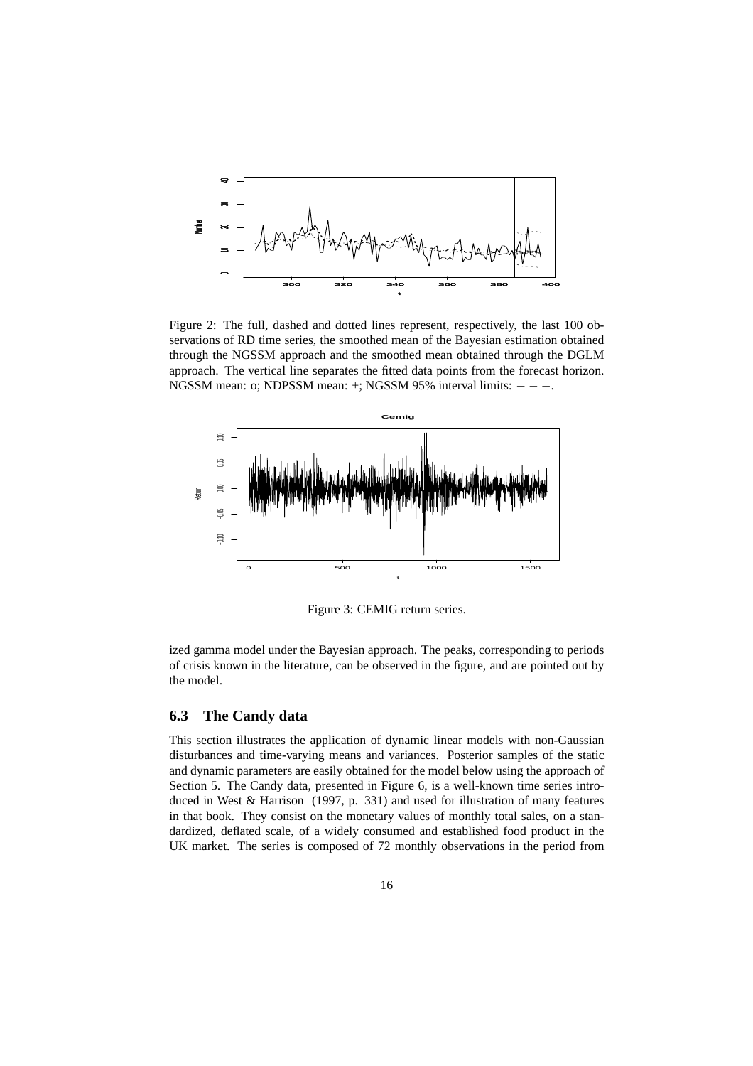

Figure 2: The full, dashed and dotted lines represent, respectively, the last 100 observations of RD time series, the smoothed mean of the Bayesian estimation obtained through the NGSSM approach and the smoothed mean obtained through the DGLM approach. The vertical line separates the fitted data points from the forecast horizon. NGSSM mean: o; NDPSSM mean: +; NGSSM 95% interval limits:  $-$  − −.



Figure 3: CEMIG return series.

ized gamma model under the Bayesian approach. The peaks, corresponding to periods of crisis known in the literature, can be observed in the figure, and are pointed out by the model.

#### **6.3 The Candy data**

This section illustrates the application of dynamic linear models with non-Gaussian disturbances and time-varying means and variances. Posterior samples of the static and dynamic parameters are easily obtained for the model below using the approach of Section 5. The Candy data, presented in Figure 6, is a well-known time series introduced in West & Harrison (1997, p. 331) and used for illustration of many features in that book. They consist on the monetary values of monthly total sales, on a standardized, deflated scale, of a widely consumed and established food product in the UK market. The series is composed of 72 monthly observations in the period from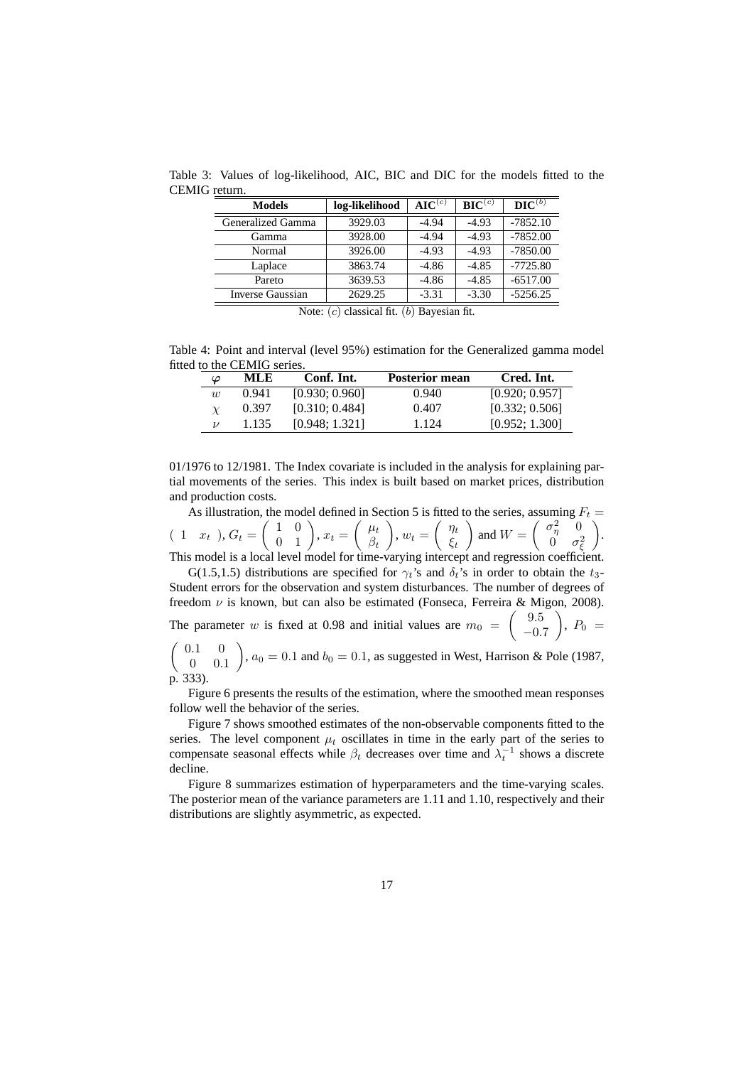| <b>Models</b>     | log-likelihood | AIC $^{(c)}$ | $\mathbf{BIC}^{(c)}$ | $\mathbf{DIC}^{(b)}$ |
|-------------------|----------------|--------------|----------------------|----------------------|
| Generalized Gamma | 3929.03        | $-4.94$      | $-4.93$              | $-7852.10$           |
| Gamma             | 3928.00        | $-4.94$      | $-4.93$              | $-7852.00$           |
| Normal            | 3926.00        | $-4.93$      | $-4.93$              | $-7850.00$           |
| Laplace           | 3863.74        | $-4.86$      | $-4.85$              | $-7725.80$           |
| Pareto            | 3639.53        | $-4.86$      | $-4.85$              | $-6517.00$           |
| Inverse Gaussian  | 2629.25        | $-3.31$      | $-3.30$              | $-5256.25$           |

Table 3: Values of log-likelihood, AIC, BIC and DIC for the models fitted to the CEMIG return.

Note:  $(c)$  classical fit.  $(b)$  Bayesian fit.

Table 4: Point and interval (level 95%) estimation for the Generalized gamma model fitted to the CEMIG series.

| $\varphi$ | MLE   | Conf. Int.     | Posterior mean | Cred. Int.     |
|-----------|-------|----------------|----------------|----------------|
| w         | 0.941 | [0.930; 0.960] | 0.940          | [0.920; 0.957] |
|           | 0.397 | [0.310; 0.484] | 0.407          | [0.332; 0.506] |
|           | 1.135 | [0.948; 1.321] | 1 1 2 4        | [0.952; 1.300] |

01/1976 to 12/1981. The Index covariate is included in the analysis for explaining partial movements of the series. This index is built based on market prices, distribution and production costs.

As illustration, the model defined in Section 5 is fitted to the series, assuming  $F_t =$  $(1 \ x_t), G_t =$  $\left(\begin{array}{cc} 1 & 0 \\ 0 & 1 \end{array}\right)$ ,  $x_t =$  $\int \mu_t$  $\beta_t$  $\overline{\phantom{0}}$  $, w_t =$  $\int$   $\eta_t$  $\xi_t$  $\overline{\phantom{0}}$ and  $W =$  $\int \sigma_\eta^2 = 0$  $0 \quad \sigma_\xi^2$  $\overline{\phantom{0}}$ . This model is a local level model for time-varying intercept and regression coefficient.

G(1.5,1.5) distributions are specified for  $\gamma_t$ 's and  $\delta_t$ 's in order to obtain the  $t_3$ -Student errors for the observation and system disturbances. The number of degrees of freedom  $\nu$  is known, but can also be estimated (Fonseca, Ferreira & Migon, 2008).

The parameter w is fixed at 0.98 and initial values are  $m_0 =$  $(9.5)$  $-0.7$  $\setminus$ ,  $P_0 =$  $\overline{\phantom{0}}$ 

 $(0.1 0)$ 0 0.1 ,  $a_0 = 0.1$  and  $b_0 = 0.1$ , as suggested in West, Harrison & Pole (1987, p. 333).

Figure 6 presents the results of the estimation, where the smoothed mean responses follow well the behavior of the series.

Figure 7 shows smoothed estimates of the non-observable components fitted to the series. The level component  $\mu_t$  oscillates in time in the early part of the series to compensate seasonal effects while  $\beta_t$  decreases over time and  $\lambda_t^{-1}$  shows a discrete decline.

Figure 8 summarizes estimation of hyperparameters and the time-varying scales. The posterior mean of the variance parameters are 1.11 and 1.10, respectively and their distributions are slightly asymmetric, as expected.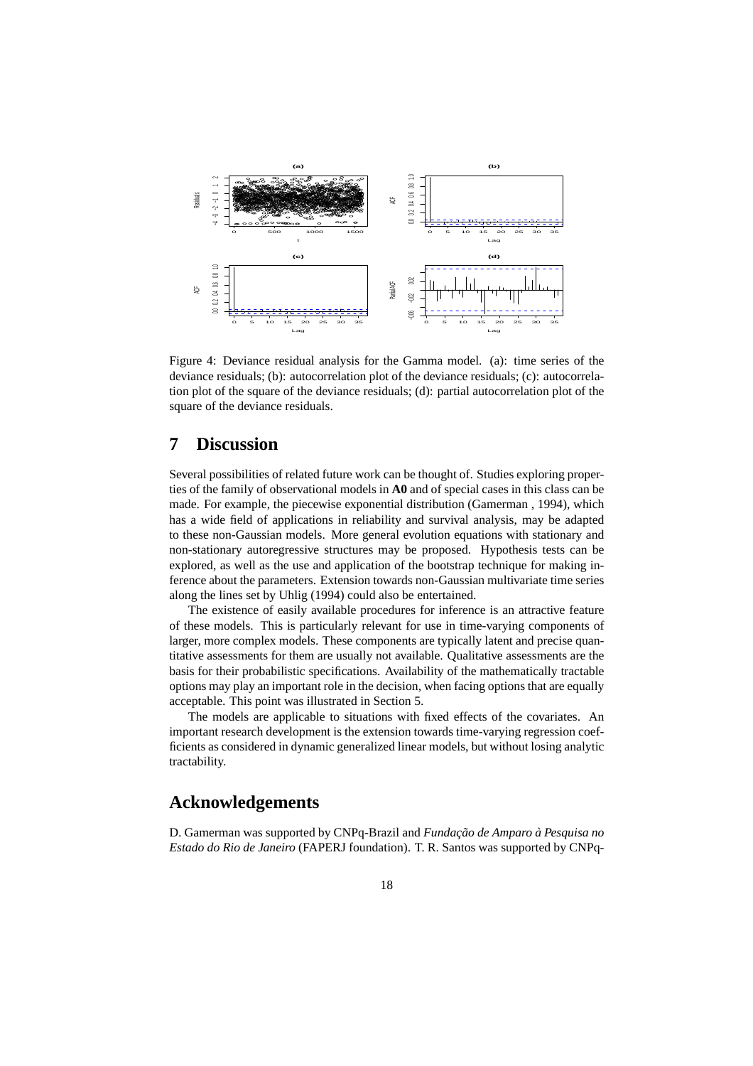

Figure 4: Deviance residual analysis for the Gamma model. (a): time series of the deviance residuals; (b): autocorrelation plot of the deviance residuals; (c): autocorrelation plot of the square of the deviance residuals; (d): partial autocorrelation plot of the square of the deviance residuals.

# **7 Discussion**

Several possibilities of related future work can be thought of. Studies exploring properties of the family of observational models in **A0** and of special cases in this class can be made. For example, the piecewise exponential distribution (Gamerman , 1994), which has a wide field of applications in reliability and survival analysis, may be adapted to these non-Gaussian models. More general evolution equations with stationary and non-stationary autoregressive structures may be proposed. Hypothesis tests can be explored, as well as the use and application of the bootstrap technique for making inference about the parameters. Extension towards non-Gaussian multivariate time series along the lines set by Uhlig (1994) could also be entertained.

The existence of easily available procedures for inference is an attractive feature of these models. This is particularly relevant for use in time-varying components of larger, more complex models. These components are typically latent and precise quantitative assessments for them are usually not available. Qualitative assessments are the basis for their probabilistic specifications. Availability of the mathematically tractable options may play an important role in the decision, when facing options that are equally acceptable. This point was illustrated in Section 5.

The models are applicable to situations with fixed effects of the covariates. An important research development is the extension towards time-varying regression coefficients as considered in dynamic generalized linear models, but without losing analytic tractability.

### **Acknowledgements**

D. Gamerman was supported by CNPq-Brazil and *Fundação de Amparo à Pesquisa no Estado do Rio de Janeiro* (FAPERJ foundation). T. R. Santos was supported by CNPq-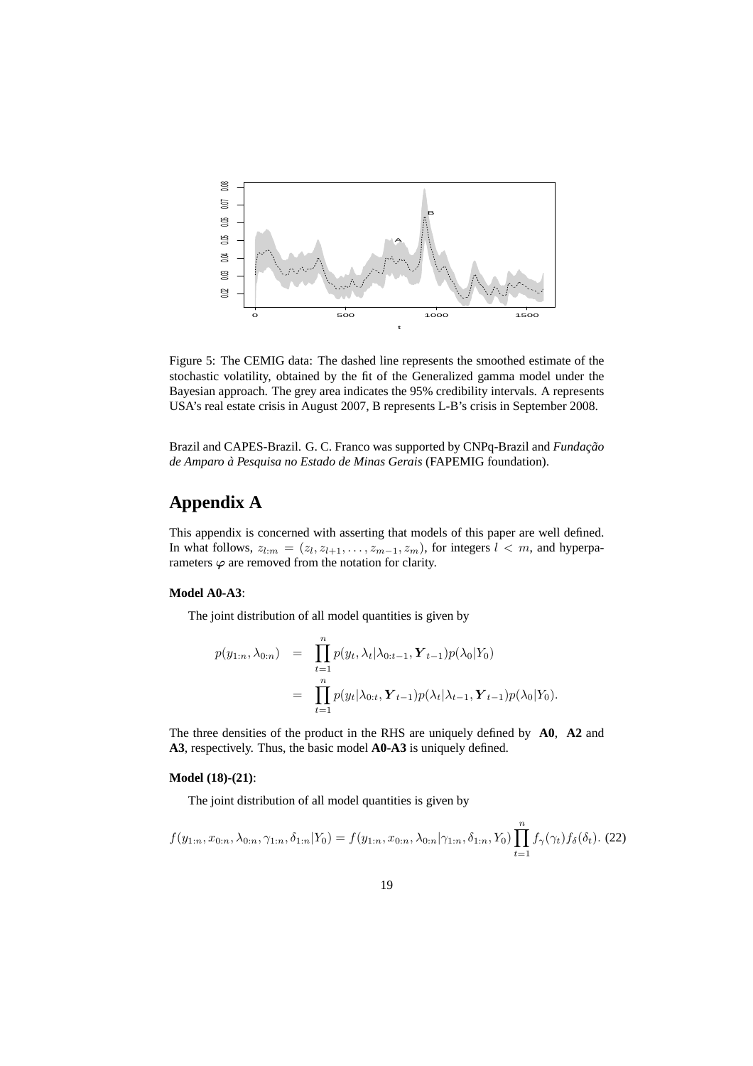

Figure 5: The CEMIG data: The dashed line represents the smoothed estimate of the stochastic volatility, obtained by the fit of the Generalized gamma model under the Bayesian approach. The grey area indicates the 95% credibility intervals. A represents USA's real estate crisis in August 2007, B represents L-B's crisis in September 2008.

Brazil and CAPES-Brazil. G. C. Franco was supported by CNPq-Brazil and *Fundação de Amparo a Pesquisa no Estado de Minas Gerais `* (FAPEMIG foundation).

# **Appendix A**

This appendix is concerned with asserting that models of this paper are well defined. In what follows,  $z_{l:m} = (z_l, z_{l+1}, \ldots, z_{m-1}, z_m)$ , for integers  $l < m$ , and hyperparameters  $\varphi$  are removed from the notation for clarity.

#### **Model A0-A3**:

The joint distribution of all model quantities is given by

$$
p(y_{1:n}, \lambda_{0:n}) = \prod_{t=1}^{n} p(y_t, \lambda_t | \lambda_{0:t-1}, \mathbf{Y}_{t-1}) p(\lambda_0 | Y_0)
$$
  
= 
$$
\prod_{t=1}^{n} p(y_t | \lambda_{0:t}, \mathbf{Y}_{t-1}) p(\lambda_t | \lambda_{t-1}, \mathbf{Y}_{t-1}) p(\lambda_0 | Y_0).
$$

The three densities of the product in the RHS are uniquely defined by **A0**, **A2** and **A3**, respectively. Thus, the basic model **A0**-**A3** is uniquely defined.

#### **Model (18)-(21)**:

The joint distribution of all model quantities is given by

$$
f(y_{1:n}, x_{0:n}, \lambda_{0:n}, \gamma_{1:n}, \delta_{1:n}|Y_0) = f(y_{1:n}, x_{0:n}, \lambda_{0:n}|\gamma_{1:n}, \delta_{1:n}, Y_0) \prod_{t=1}^n f_\gamma(\gamma_t) f_\delta(\delta_t). (22)
$$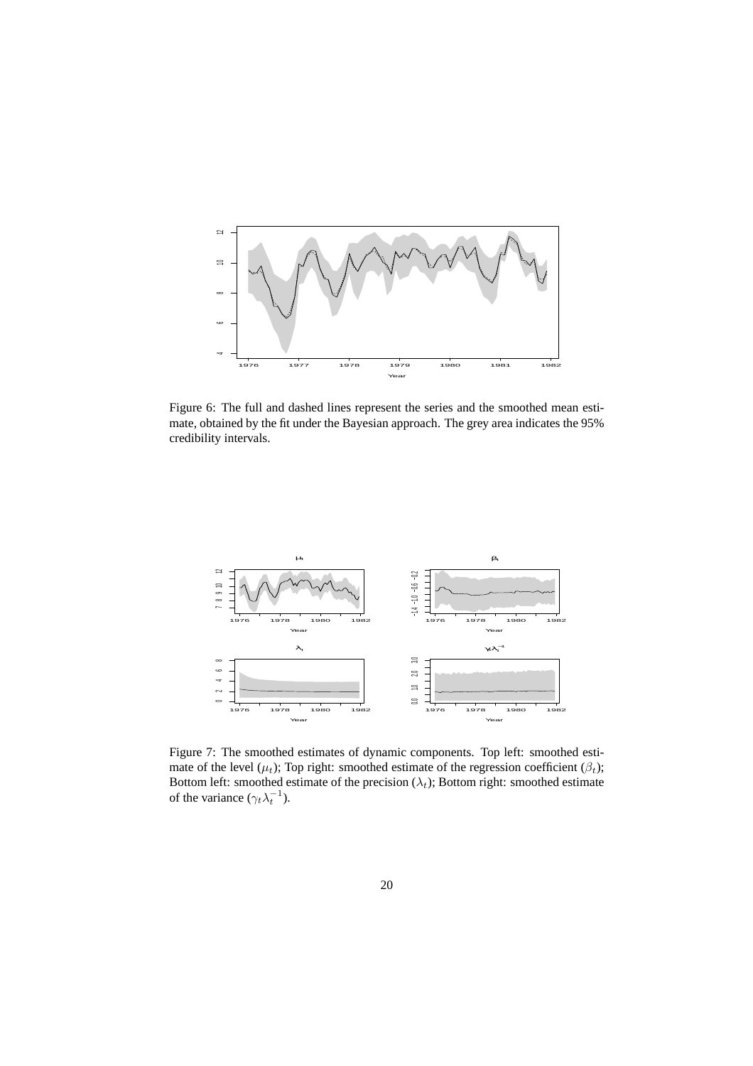

Figure 6: The full and dashed lines represent the series and the smoothed mean estimate, obtained by the fit under the Bayesian approach. The grey area indicates the 95% credibility intervals.



Figure 7: The smoothed estimates of dynamic components. Top left: smoothed estimate of the level ( $\mu_t$ ); Top right: smoothed estimate of the regression coefficient ( $\beta_t$ ); Bottom left: smoothed estimate of the precision  $(\lambda_t)$ ; Bottom right: smoothed estimate of the variance  $(\gamma_t \lambda_t^{-1})$ .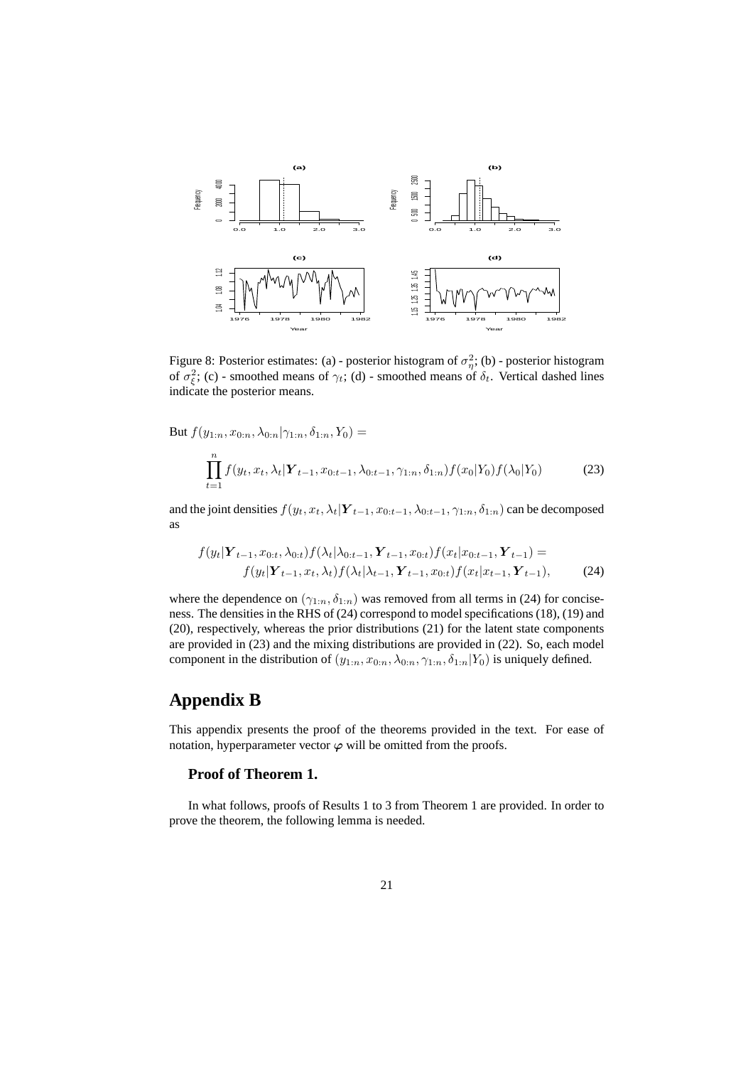

Figure 8: Posterior estimates: (a) - posterior histogram of  $\sigma_{\eta}^2$ ; (b) - posterior histogram of  $\sigma_{\xi}^2$ ; (c) - smoothed means of  $\gamma_t$ ; (d) - smoothed means of  $\delta_t$ . Vertical dashed lines indicate the posterior means.

But  $f(y_{1:n}, x_{0:n}, \lambda_{0:n} | \gamma_{1:n}, \delta_{1:n}, Y_0) =$ 

$$
\prod_{t=1}^{n} f(y_t, x_t, \lambda_t | \mathbf{Y}_{t-1}, x_{0:t-1}, \lambda_{0:t-1}, \gamma_{1:n}, \delta_{1:n}) f(x_0 | Y_0) f(\lambda_0 | Y_0)
$$
 (23)

and the joint densities  $f(y_t, x_t, \lambda_t | \mathbf{Y}_{t-1}, x_{0:t-1}, \lambda_{0:t-1}, \gamma_{1:n}, \delta_{1:n})$  can be decomposed as

$$
f(y_t|\mathbf{Y}_{t-1}, x_{0:t}, \lambda_{0:t}) f(\lambda_t | \lambda_{0:t-1}, \mathbf{Y}_{t-1}, x_{0:t}) f(x_t | x_{0:t-1}, \mathbf{Y}_{t-1}) = f(y_t | \mathbf{Y}_{t-1}, x_t, \lambda_t) f(\lambda_t | \lambda_{t-1}, \mathbf{Y}_{t-1}, x_{0:t}) f(x_t | x_{t-1}, \mathbf{Y}_{t-1}),
$$
(24)

where the dependence on  $(\gamma_{1:n}, \delta_{1:n})$  was removed from all terms in (24) for conciseness. The densities in the RHS of (24) correspond to model specifications (18), (19) and (20), respectively, whereas the prior distributions (21) for the latent state components are provided in (23) and the mixing distributions are provided in (22). So, each model component in the distribution of  $(y_{1:n}, x_{0:n}, \lambda_{0:n}, \gamma_{1:n}, \delta_{1:n}|Y_0)$  is uniquely defined.

## **Appendix B**

This appendix presents the proof of the theorems provided in the text. For ease of notation, hyperparameter vector  $\varphi$  will be omitted from the proofs.

### **Proof of Theorem 1.**

In what follows, proofs of Results 1 to 3 from Theorem 1 are provided. In order to prove the theorem, the following lemma is needed.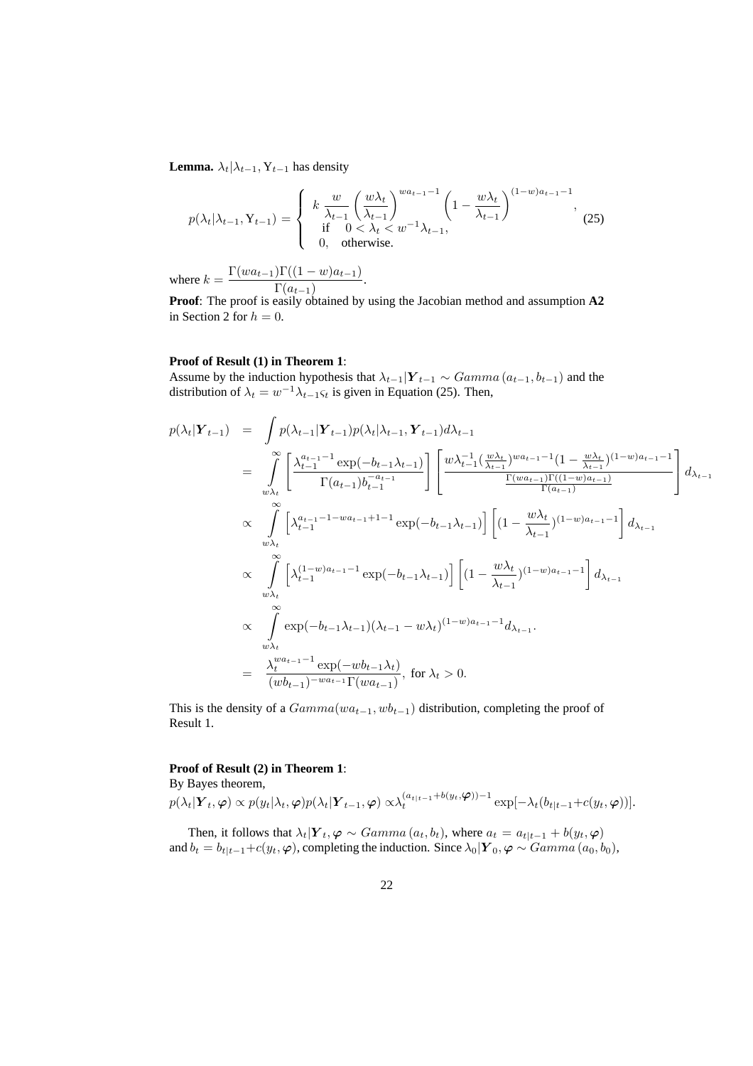**Lemma.**  $\lambda_t | \lambda_{t-1}, Y_{t-1}$  has density

$$
p(\lambda_t | \lambda_{t-1}, \mathbf{Y}_{t-1}) = \begin{cases} k \frac{w}{\lambda_{t-1}} \left( \frac{w \lambda_t}{\lambda_{t-1}} \right)^{wa_{t-1}-1} \left( 1 - \frac{w \lambda_t}{\lambda_{t-1}} \right)^{(1-w)a_{t-1}-1}, & (25) \\ \text{if } 0 < \lambda_t < w^{-1} \lambda_{t-1}, & (25) \\ 0, \quad \text{otherwise.} \end{cases}
$$

where  $k = \frac{\Gamma(w a_{t-1}) \Gamma((1-w) a_{t-1})}{\Gamma(w)}$  $\frac{\Gamma(a_{t-1})}{\Gamma(a_{t-1})}.$ 

**Proof**: The proof is easily obtained by using the Jacobian method and assumption **A2** in Section 2 for  $h = 0$ .

#### **Proof of Result (1) in Theorem 1**:

Assume by the induction hypothesis that  $\lambda_{t-1}|\boldsymbol{Y}_{t-1} \sim \text{Gamma}(a_{t-1}, b_{t-1})$  and the distribution of  $\lambda_t = w^{-1} \lambda_{t-1} \varsigma_t$  is given in Equation (25). Then,

$$
p(\lambda_t | \mathbf{Y}_{t-1}) = \int p(\lambda_{t-1} | \mathbf{Y}_{t-1}) p(\lambda_t | \lambda_{t-1}, \mathbf{Y}_{t-1}) d\lambda_{t-1}
$$
  
\n
$$
= \int_{w\lambda_t}^{\infty} \left[ \frac{\lambda_{t-1}^{a_{t-1}-1} \exp(-b_{t-1}\lambda_{t-1})}{\Gamma(a_{t-1})b_{t-1}^{-a_{t-1}}} \right] \left[ \frac{w\lambda_{t-1}^{-1}(\frac{w\lambda_t}{\lambda_{t-1}})^{wa_{t-1}-1} (1 - \frac{w\lambda_t}{\lambda_{t-1}})^{(1-w)a_{t-1}-1}}{\Gamma(a_{t-1})} \right] d\lambda_{t-1}
$$
  
\n
$$
\propto \int_{w\lambda_t}^{\infty} \left[ \lambda_{t-1}^{a_{t-1}-1-wa_{t-1}+1-1} \exp(-b_{t-1}\lambda_{t-1}) \right] \left[ (1 - \frac{w\lambda_t}{\lambda_{t-1}})^{(1-w)a_{t-1}-1} \right] d\lambda_{t-1}
$$
  
\n
$$
\propto \int_{w\lambda_t}^{\infty} \left[ \lambda_{t-1}^{(1-w)a_{t-1}-1} \exp(-b_{t-1}\lambda_{t-1}) \right] \left[ (1 - \frac{w\lambda_t}{\lambda_{t-1}})^{(1-w)a_{t-1}-1} \right] d\lambda_{t-1}
$$
  
\n
$$
\propto \int_{w\lambda_t}^{\infty} \exp(-b_{t-1}\lambda_{t-1}) (\lambda_{t-1} - w\lambda_t)^{(1-w)a_{t-1}-1} d\lambda_{t-1}.
$$
  
\n
$$
= \frac{\lambda_t^{wa_{t-1}-1} \exp(-wb_{t-1}\lambda_t)}{(wb_{t-1})^{-wa_{t-1}} \Gamma(wa_{t-1})}, \text{ for } \lambda_t > 0.
$$

This is the density of a  $Gamma(wa_{t-1}, wb_{t-1})$  distribution, completing the proof of Result 1.

### **Proof of Result (2) in Theorem 1**:

By Bayes theorem,

 $p(\lambda_t|\boldsymbol{Y}_t,\boldsymbol{\varphi}) \propto p(y_t|\lambda_t,\boldsymbol{\varphi})p(\lambda_t|\boldsymbol{Y}_{t-1},\boldsymbol{\varphi}) \propto \! \lambda_t^{(a_{t|t-1}+b(y_t,\boldsymbol{\varphi}))-1} \exp[-\lambda_t(b_{t|t-1}\!+\!c(y_t,\boldsymbol{\varphi}))].$ 

Then, it follows that  $\lambda_t|Y_t, \varphi \sim Gamma(a_t, b_t)$ , where  $a_t = a_{t|t-1} + b(y_t, \varphi)$ and  $b_t = b_{t|t-1} + c(y_t, \varphi)$ , completing the induction. Since  $\lambda_0|\mathbf{Y}_0, \varphi \sim \text{Gamma}(a_0, b_0)$ ,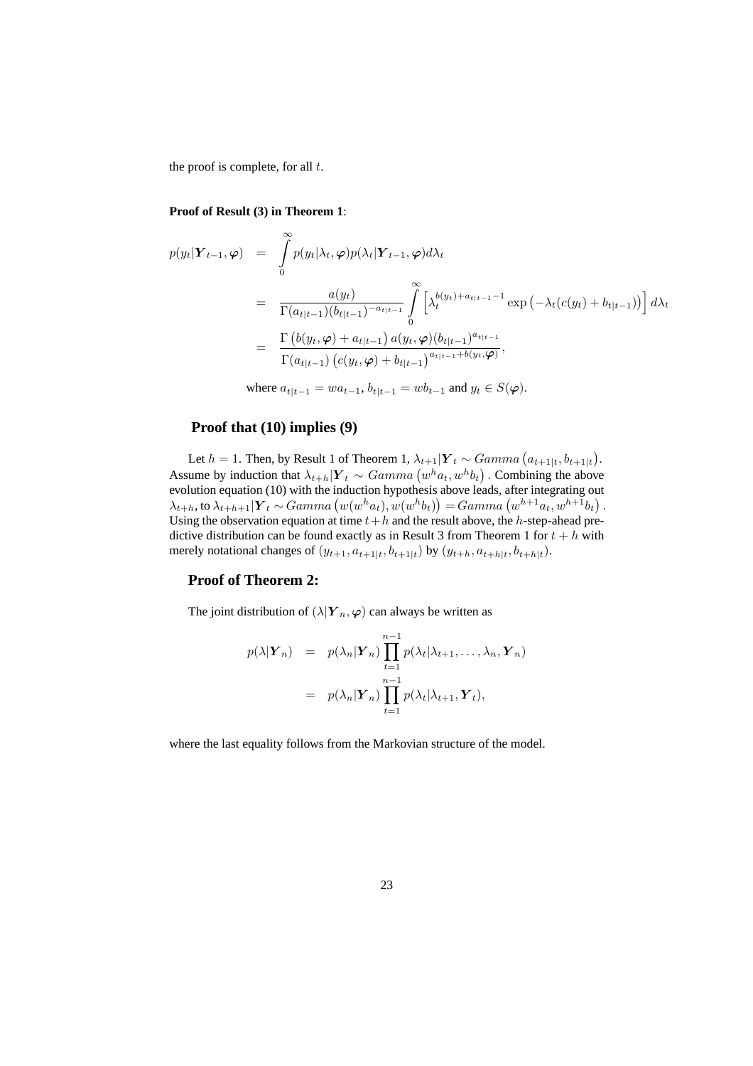the proof is complete, for all  $t$ .

#### **Proof of Result (3) in Theorem 1**:

$$
p(y_t|\mathbf{Y}_{t-1}, \varphi) = \int_0^{\infty} p(y_t|\lambda_t, \varphi) p(\lambda_t|\mathbf{Y}_{t-1}, \varphi) d\lambda_t
$$
  
\n
$$
= \frac{a(y_t)}{\Gamma(a_{t|t-1})(b_{t|t-1})^{-a_{t|t-1}}} \int_0^{\infty} \left[ \lambda_t^{b(y_t) + a_{t|t-1} - 1} \exp\left(-\lambda_t(c(y_t) + b_{t|t-1})\right) \right] d\lambda_t
$$
  
\n
$$
= \frac{\Gamma\left(b(y_t, \varphi) + a_{t|t-1}\right) a(y_t, \varphi) (b_{t|t-1})^{a_{t|t-1}}}{\Gamma(a_{t|t-1}) \left(c(y_t, \varphi) + b_{t|t-1}\right)^{a_{t|t-1} + b(y_t, \varphi)}},
$$

where  $a_{t|t-1} = wa_{t-1}, b_{t|t-1} = wb_{t-1}$  and  $y_t \in S(\varphi)$ .

### **Proof that (10) implies (9)**

Let  $h = 1$ . Then, by Result 1 of Theorem 1,  $\lambda_{t+1} | Y_t \sim Gamma\left(a_{t+1|t}, b_{t+1|t}\right)$ . Assume by induction that  $\lambda_{t+h} | Y_t \sim Gamma(w^h a_t, w^h b_t)$ . Combining the above evolution equation (10) with the induction hypothesis above leads, after integrating out  $\lambda_{t+h}$ , to  $\lambda_{t+h+1} | Y_t \sim Gamma(w(w^h a_t), w(w^h b_t)) = Gamma(w^{h+1} a_t, w^{h+1} b_t)$ . Using the observation equation at time  $t+h$  and the result above, the h-step-ahead predictive distribution can be found exactly as in Result 3 from Theorem 1 for  $t + h$  with merely notational changes of  $(y_{t+1}, a_{t+1|t}, b_{t+1|t})$  by  $(y_{t+h}, a_{t+h|t}, b_{t+h|t})$ .

#### **Proof of Theorem 2:**

The joint distribution of  $(\lambda | Y_n, \varphi)$  can always be written as

$$
p(\lambda | \mathbf{Y}_n) = p(\lambda_n | \mathbf{Y}_n) \prod_{t=1}^{n-1} p(\lambda_t | \lambda_{t+1}, \dots, \lambda_n, \mathbf{Y}_n)
$$
  
=  $p(\lambda_n | \mathbf{Y}_n) \prod_{t=1}^{n-1} p(\lambda_t | \lambda_{t+1}, \mathbf{Y}_t),$ 

where the last equality follows from the Markovian structure of the model.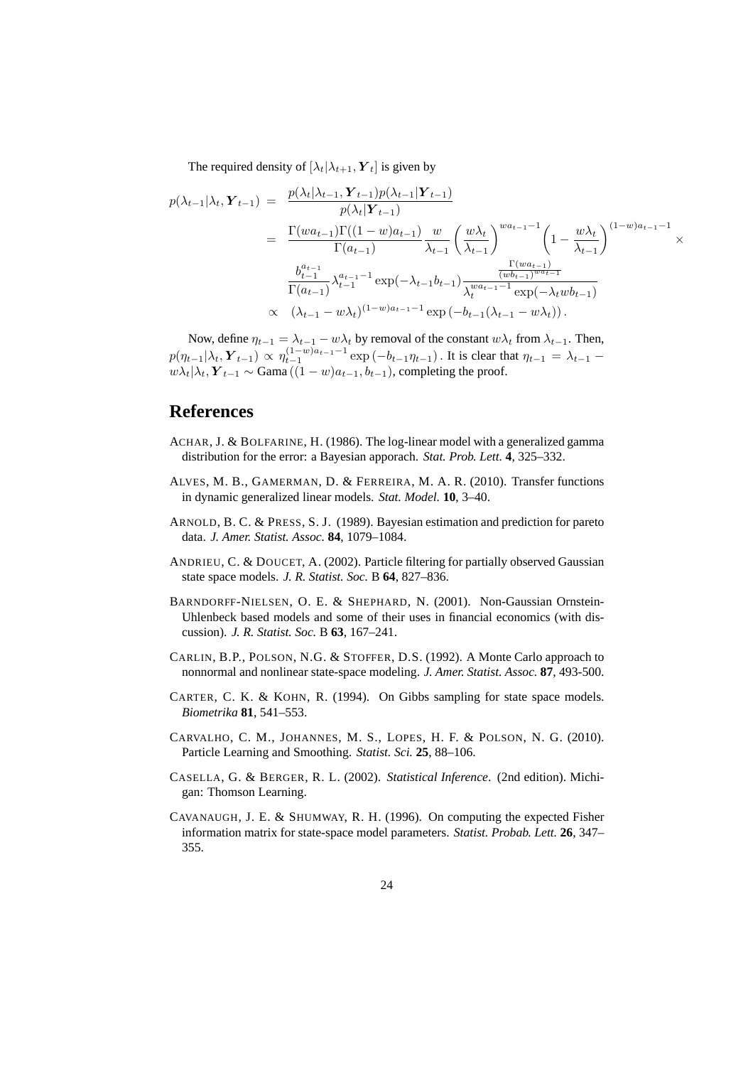The required density of  $[\lambda_t | \lambda_{t+1}, \mathbf{Y}_t]$  is given by

$$
p(\lambda_{t-1}|\lambda_t, \mathbf{Y}_{t-1}) = \frac{p(\lambda_t|\lambda_{t-1}, \mathbf{Y}_{t-1})p(\lambda_{t-1}|\mathbf{Y}_{t-1})}{p(\lambda_t|\mathbf{Y}_{t-1})}
$$
  
\n
$$
= \frac{\Gamma(wa_{t-1})\Gamma((1-w)a_{t-1})}{\Gamma(a_{t-1})} \frac{w}{\lambda_{t-1}} \left(\frac{w\lambda_t}{\lambda_{t-1}}\right)^{wa_{t-1}-1} \left(1 - \frac{w\lambda_t}{\lambda_{t-1}}\right)^{(1-w)a_{t-1}-1} \times
$$
  
\n
$$
\frac{b_{t-1}^{a_{t-1}}}{\Gamma(a_{t-1})} \lambda_{t-1}^{a_{t-1}-1} \exp(-\lambda_{t-1}b_{t-1}) \frac{\frac{\Gamma(wa_{t-1})}{(wb_{t-1})^{wa_{t-1}}}}{\lambda_t^{wa_{t-1}-1} \exp(-\lambda_t w b_{t-1})}
$$
  
\n
$$
\propto (\lambda_{t-1} - w\lambda_t)^{(1-w)a_{t-1}-1} \exp(-b_{t-1}(\lambda_{t-1} - w\lambda_t)).
$$

Now, define  $\eta_{t-1} = \lambda_{t-1} - w\lambda_t$  by removal of the constant  $w\lambda_t$  from  $\lambda_{t-1}$ . Then,  $p(\eta_{t-1}|\lambda_t, \boldsymbol{Y}_{t-1}) \propto \eta_{t-1}^{(1-w)a_{t-1}-1} \exp(-b_{t-1}\eta_{t-1})$ . It is clear that  $\eta_{t-1} = \lambda_{t-1}$  $w\lambda_t|\lambda_t, Y_{t-1} \sim \text{Gama}\left((1-w)a_{t-1}, b_{t-1}\right)$ , completing the proof.

# **References**

- ACHAR, J. & BOLFARINE, H. (1986). The log-linear model with a generalized gamma distribution for the error: a Bayesian apporach. *Stat. Prob. Lett.* **4**, 325–332.
- ALVES, M. B., GAMERMAN, D. & FERREIRA, M. A. R. (2010). Transfer functions in dynamic generalized linear models. *Stat. Model.* **10**, 3–40.
- ARNOLD, B. C. & PRESS, S. J. (1989). Bayesian estimation and prediction for pareto data. *J. Amer. Statist. Assoc.* **84**, 1079–1084.
- ANDRIEU, C. & DOUCET, A. (2002). Particle filtering for partially observed Gaussian state space models. *J. R. Statist. Soc.* B **64**, 827–836.
- BARNDORFF-NIELSEN, O. E. & SHEPHARD, N. (2001). Non-Gaussian Ornstein-Uhlenbeck based models and some of their uses in financial economics (with discussion). *J. R. Statist. Soc.* B **63**, 167–241.
- CARLIN, B.P., POLSON, N.G. & STOFFER, D.S. (1992). A Monte Carlo approach to nonnormal and nonlinear state-space modeling. *J. Amer. Statist. Assoc.* **87**, 493-500.
- CARTER, C. K. & KOHN, R. (1994). On Gibbs sampling for state space models. *Biometrika* **81**, 541–553.
- CARVALHO, C. M., JOHANNES, M. S., LOPES, H. F. & POLSON, N. G. (2010). Particle Learning and Smoothing. *Statist. Sci.* **25**, 88–106.
- CASELLA, G. & BERGER, R. L. (2002). *Statistical Inference*. (2nd edition). Michigan: Thomson Learning.
- CAVANAUGH, J. E. & SHUMWAY, R. H. (1996). On computing the expected Fisher information matrix for state-space model parameters. *Statist. Probab. Lett.* **26**, 347– 355.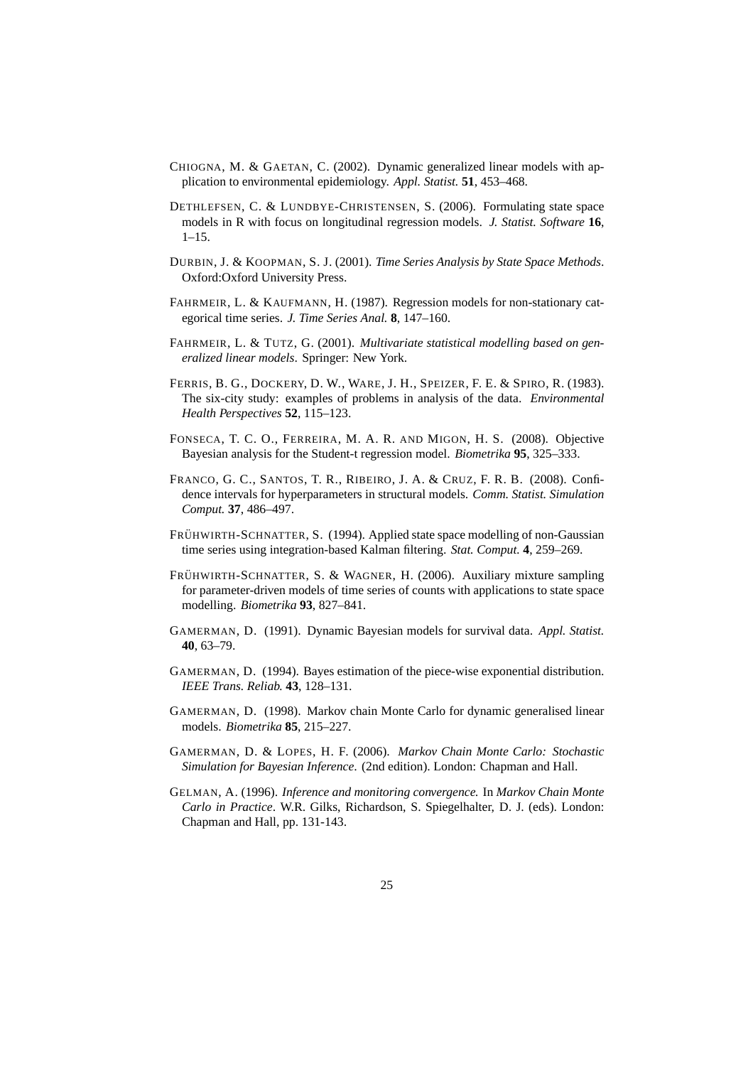- CHIOGNA, M. & GAETAN, C. (2002). Dynamic generalized linear models with application to environmental epidemiology. *Appl. Statist.* **51**, 453–468.
- DETHLEFSEN, C. & LUNDBYE-CHRISTENSEN, S. (2006). Formulating state space models in R with focus on longitudinal regression models. *J. Statist. Software* **16**, 1–15.
- DURBIN, J. & KOOPMAN, S. J. (2001). *Time Series Analysis by State Space Methods*. Oxford:Oxford University Press.
- FAHRMEIR, L. & KAUFMANN, H. (1987). Regression models for non-stationary categorical time series. *J. Time Series Anal.* **8**, 147–160.
- FAHRMEIR, L. & TUTZ, G. (2001). *Multivariate statistical modelling based on generalized linear models*. Springer: New York.
- FERRIS, B. G., DOCKERY, D. W., WARE, J. H., SPEIZER, F. E. & SPIRO, R. (1983). The six-city study: examples of problems in analysis of the data. *Environmental Health Perspectives* **52**, 115–123.
- FONSECA, T. C. O., FERREIRA, M. A. R. AND MIGON, H. S. (2008). Objective Bayesian analysis for the Student-t regression model. *Biometrika* **95**, 325–333.
- FRANCO, G. C., SANTOS, T. R., RIBEIRO, J. A. & CRUZ, F. R. B. (2008). Confidence intervals for hyperparameters in structural models. *Comm. Statist. Simulation Comput.* **37**, 486–497.
- FRÜHWIRTH-SCHNATTER, S. (1994). Applied state space modelling of non-Gaussian time series using integration-based Kalman filtering. *Stat. Comput.* **4**, 259–269.
- FRÜHWIRTH-SCHNATTER, S. & WAGNER, H. (2006). Auxiliary mixture sampling for parameter-driven models of time series of counts with applications to state space modelling. *Biometrika* **93**, 827–841.
- GAMERMAN, D. (1991). Dynamic Bayesian models for survival data. *Appl. Statist.* **40**, 63–79.
- GAMERMAN, D. (1994). Bayes estimation of the piece-wise exponential distribution. *IEEE Trans. Reliab.* **43**, 128–131.
- GAMERMAN, D. (1998). Markov chain Monte Carlo for dynamic generalised linear models. *Biometrika* **85**, 215–227.
- GAMERMAN, D. & LOPES, H. F. (2006). *Markov Chain Monte Carlo: Stochastic Simulation for Bayesian Inference*. (2nd edition). London: Chapman and Hall.
- GELMAN, A. (1996). *Inference and monitoring convergence.* In *Markov Chain Monte Carlo in Practice*. W.R. Gilks, Richardson, S. Spiegelhalter, D. J. (eds). London: Chapman and Hall, pp. 131-143.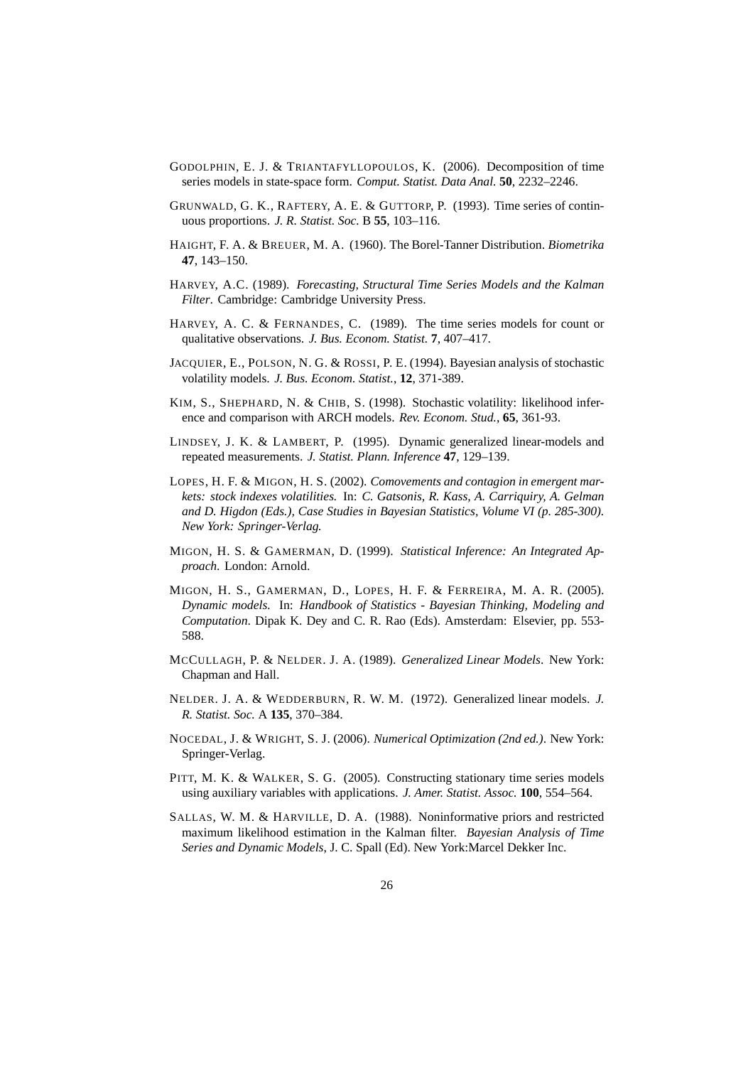- GODOLPHIN, E. J. & TRIANTAFYLLOPOULOS, K. (2006). Decomposition of time series models in state-space form. *Comput. Statist. Data Anal.* **50**, 2232–2246.
- GRUNWALD, G. K., RAFTERY, A. E. & GUTTORP, P. (1993). Time series of continuous proportions. *J. R. Statist. Soc.* B **55**, 103–116.
- HAIGHT, F. A. & BREUER, M. A. (1960). The Borel-Tanner Distribution. *Biometrika* **47**, 143–150.
- HARVEY, A.C. (1989). *Forecasting, Structural Time Series Models and the Kalman Filter*. Cambridge: Cambridge University Press.
- HARVEY, A. C. & FERNANDES, C. (1989). The time series models for count or qualitative observations. *J. Bus. Econom. Statist.* **7**, 407–417.
- JACQUIER, E., POLSON, N. G. & ROSSI, P. E. (1994). Bayesian analysis of stochastic volatility models. *J. Bus. Econom. Statist.*, **12**, 371-389.
- KIM, S., SHEPHARD, N. & CHIB, S. (1998). Stochastic volatility: likelihood inference and comparison with ARCH models. *Rev. Econom. Stud.*, **65**, 361-93.
- LINDSEY, J. K. & LAMBERT, P. (1995). Dynamic generalized linear-models and repeated measurements. *J. Statist. Plann. Inference* **47**, 129–139.
- LOPES, H. F. & MIGON, H. S. (2002). *Comovements and contagion in emergent markets: stock indexes volatilities.* In: *C. Gatsonis, R. Kass, A. Carriquiry, A. Gelman and D. Higdon (Eds.), Case Studies in Bayesian Statistics, Volume VI (p. 285-300). New York: Springer-Verlag.*
- MIGON, H. S. & GAMERMAN, D. (1999). *Statistical Inference: An Integrated Approach*. London: Arnold.
- MIGON, H. S., GAMERMAN, D., LOPES, H. F. & FERREIRA, M. A. R. (2005). *Dynamic models.* In: *Handbook of Statistics - Bayesian Thinking, Modeling and Computation*. Dipak K. Dey and C. R. Rao (Eds). Amsterdam: Elsevier, pp. 553- 588.
- MCCULLAGH, P. & NELDER. J. A. (1989). *Generalized Linear Models*. New York: Chapman and Hall.
- NELDER. J. A. & WEDDERBURN, R. W. M. (1972). Generalized linear models. *J. R. Statist. Soc.* A **135**, 370–384.
- NOCEDAL, J. & WRIGHT, S. J. (2006). *Numerical Optimization (2nd ed.)*. New York: Springer-Verlag.
- PITT, M. K. & WALKER, S. G. (2005). Constructing stationary time series models using auxiliary variables with applications. *J. Amer. Statist. Assoc.* **100**, 554–564.
- SALLAS, W. M. & HARVILLE, D. A. (1988). Noninformative priors and restricted maximum likelihood estimation in the Kalman filter. *Bayesian Analysis of Time Series and Dynamic Models*, J. C. Spall (Ed). New York:Marcel Dekker Inc.